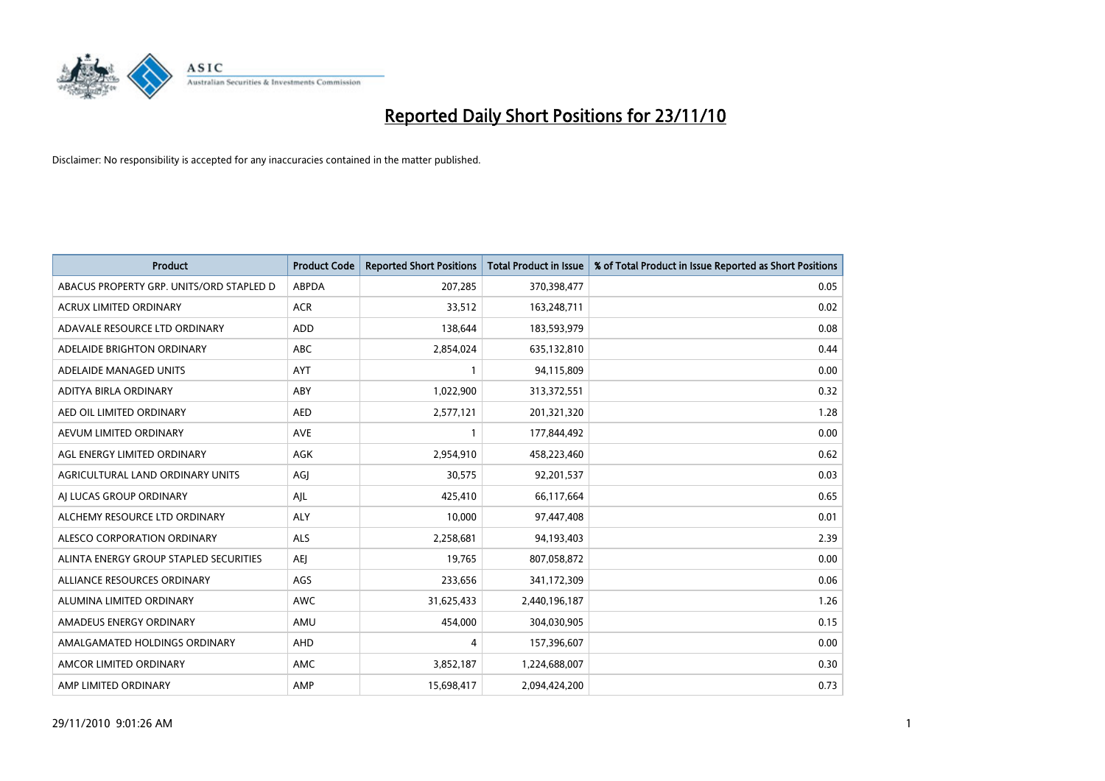

| Product                                  | <b>Product Code</b> | <b>Reported Short Positions</b> | <b>Total Product in Issue</b> | % of Total Product in Issue Reported as Short Positions |
|------------------------------------------|---------------------|---------------------------------|-------------------------------|---------------------------------------------------------|
| ABACUS PROPERTY GRP. UNITS/ORD STAPLED D | <b>ABPDA</b>        | 207,285                         | 370,398,477                   | 0.05                                                    |
| ACRUX LIMITED ORDINARY                   | <b>ACR</b>          | 33,512                          | 163,248,711                   | 0.02                                                    |
| ADAVALE RESOURCE LTD ORDINARY            | <b>ADD</b>          | 138,644                         | 183,593,979                   | 0.08                                                    |
| ADELAIDE BRIGHTON ORDINARY               | <b>ABC</b>          | 2,854,024                       | 635,132,810                   | 0.44                                                    |
| ADELAIDE MANAGED UNITS                   | <b>AYT</b>          |                                 | 94,115,809                    | 0.00                                                    |
| ADITYA BIRLA ORDINARY                    | ABY                 | 1,022,900                       | 313,372,551                   | 0.32                                                    |
| AED OIL LIMITED ORDINARY                 | <b>AED</b>          | 2,577,121                       | 201,321,320                   | 1.28                                                    |
| AEVUM LIMITED ORDINARY                   | <b>AVE</b>          |                                 | 177,844,492                   | 0.00                                                    |
| AGL ENERGY LIMITED ORDINARY              | <b>AGK</b>          | 2,954,910                       | 458,223,460                   | 0.62                                                    |
| AGRICULTURAL LAND ORDINARY UNITS         | AGI                 | 30,575                          | 92,201,537                    | 0.03                                                    |
| AI LUCAS GROUP ORDINARY                  | AJL                 | 425,410                         | 66,117,664                    | 0.65                                                    |
| ALCHEMY RESOURCE LTD ORDINARY            | <b>ALY</b>          | 10,000                          | 97,447,408                    | 0.01                                                    |
| ALESCO CORPORATION ORDINARY              | <b>ALS</b>          | 2,258,681                       | 94,193,403                    | 2.39                                                    |
| ALINTA ENERGY GROUP STAPLED SECURITIES   | <b>AEI</b>          | 19,765                          | 807,058,872                   | 0.00                                                    |
| ALLIANCE RESOURCES ORDINARY              | AGS                 | 233,656                         | 341,172,309                   | 0.06                                                    |
| ALUMINA LIMITED ORDINARY                 | <b>AWC</b>          | 31,625,433                      | 2,440,196,187                 | 1.26                                                    |
| AMADEUS ENERGY ORDINARY                  | AMU                 | 454,000                         | 304,030,905                   | 0.15                                                    |
| AMALGAMATED HOLDINGS ORDINARY            | AHD                 | 4                               | 157,396,607                   | 0.00                                                    |
| AMCOR LIMITED ORDINARY                   | AMC                 | 3,852,187                       | 1,224,688,007                 | 0.30                                                    |
| AMP LIMITED ORDINARY                     | AMP                 | 15,698,417                      | 2,094,424,200                 | 0.73                                                    |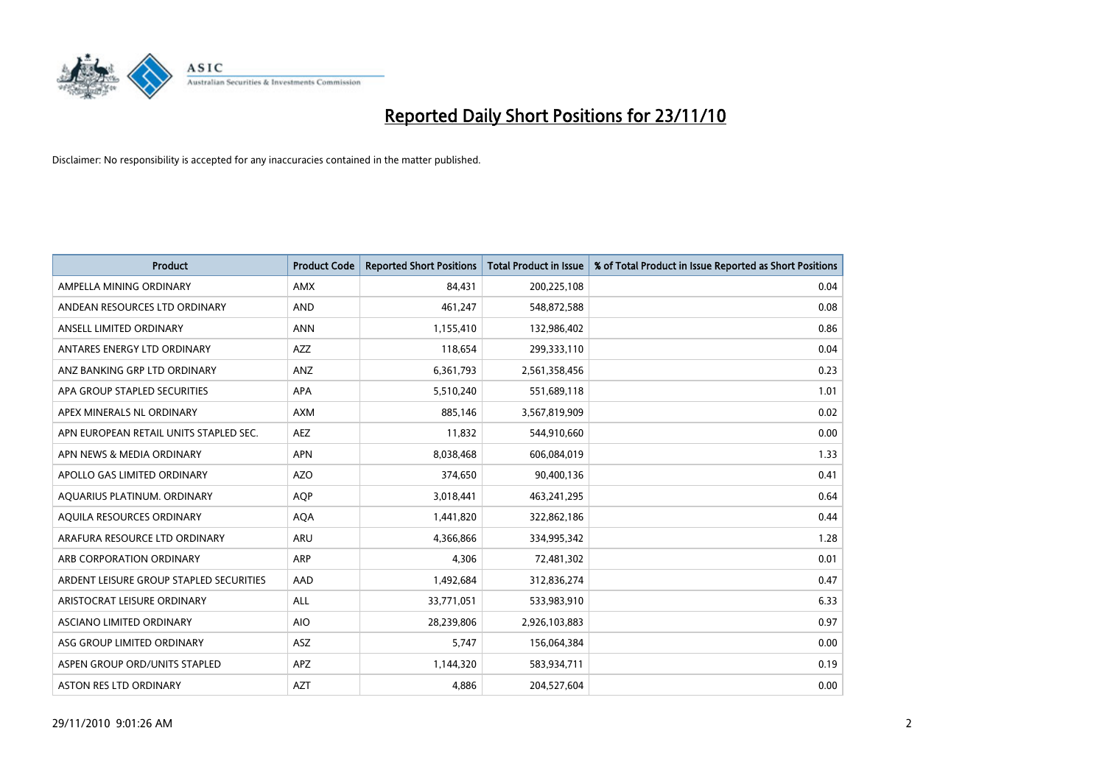

| <b>Product</b>                          | <b>Product Code</b> | <b>Reported Short Positions</b> | Total Product in Issue | % of Total Product in Issue Reported as Short Positions |
|-----------------------------------------|---------------------|---------------------------------|------------------------|---------------------------------------------------------|
| AMPELLA MINING ORDINARY                 | <b>AMX</b>          | 84,431                          | 200,225,108            | 0.04                                                    |
| ANDEAN RESOURCES LTD ORDINARY           | <b>AND</b>          | 461,247                         | 548,872,588            | 0.08                                                    |
| ANSELL LIMITED ORDINARY                 | <b>ANN</b>          | 1,155,410                       | 132,986,402            | 0.86                                                    |
| ANTARES ENERGY LTD ORDINARY             | <b>AZZ</b>          | 118,654                         | 299,333,110            | 0.04                                                    |
| ANZ BANKING GRP LTD ORDINARY            | ANZ                 | 6,361,793                       | 2,561,358,456          | 0.23                                                    |
| APA GROUP STAPLED SECURITIES            | <b>APA</b>          | 5,510,240                       | 551,689,118            | 1.01                                                    |
| APEX MINERALS NL ORDINARY               | <b>AXM</b>          | 885,146                         | 3,567,819,909          | 0.02                                                    |
| APN EUROPEAN RETAIL UNITS STAPLED SEC.  | <b>AEZ</b>          | 11,832                          | 544,910,660            | 0.00                                                    |
| APN NEWS & MEDIA ORDINARY               | <b>APN</b>          | 8,038,468                       | 606,084,019            | 1.33                                                    |
| APOLLO GAS LIMITED ORDINARY             | <b>AZO</b>          | 374,650                         | 90,400,136             | 0.41                                                    |
| AQUARIUS PLATINUM. ORDINARY             | <b>AOP</b>          | 3,018,441                       | 463,241,295            | 0.64                                                    |
| AQUILA RESOURCES ORDINARY               | <b>AQA</b>          | 1,441,820                       | 322,862,186            | 0.44                                                    |
| ARAFURA RESOURCE LTD ORDINARY           | ARU                 | 4,366,866                       | 334,995,342            | 1.28                                                    |
| ARB CORPORATION ORDINARY                | <b>ARP</b>          | 4,306                           | 72,481,302             | 0.01                                                    |
| ARDENT LEISURE GROUP STAPLED SECURITIES | AAD                 | 1,492,684                       | 312,836,274            | 0.47                                                    |
| ARISTOCRAT LEISURE ORDINARY             | <b>ALL</b>          | 33,771,051                      | 533,983,910            | 6.33                                                    |
| ASCIANO LIMITED ORDINARY                | <b>AIO</b>          | 28,239,806                      | 2,926,103,883          | 0.97                                                    |
| ASG GROUP LIMITED ORDINARY              | <b>ASZ</b>          | 5,747                           | 156,064,384            | 0.00                                                    |
| ASPEN GROUP ORD/UNITS STAPLED           | APZ                 | 1,144,320                       | 583,934,711            | 0.19                                                    |
| ASTON RES LTD ORDINARY                  | <b>AZT</b>          | 4,886                           | 204,527,604            | 0.00                                                    |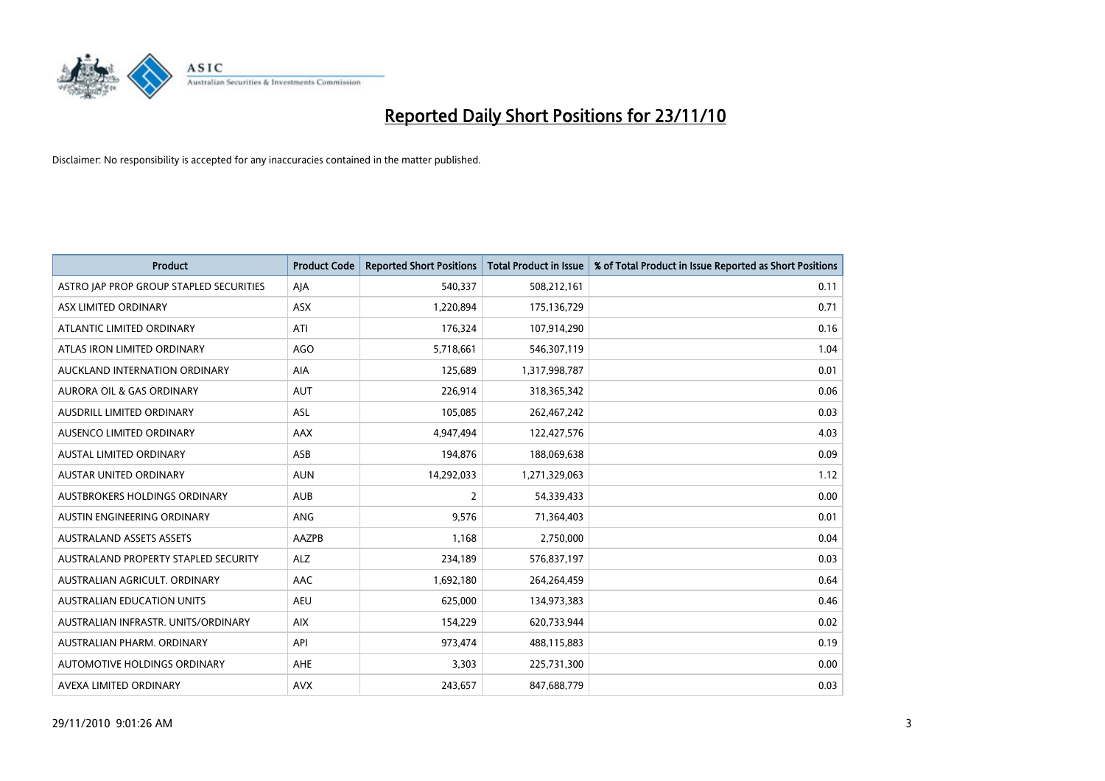

| <b>Product</b>                          | <b>Product Code</b> | <b>Reported Short Positions</b> | Total Product in Issue | % of Total Product in Issue Reported as Short Positions |
|-----------------------------------------|---------------------|---------------------------------|------------------------|---------------------------------------------------------|
| ASTRO JAP PROP GROUP STAPLED SECURITIES | AJA                 | 540,337                         | 508,212,161            | 0.11                                                    |
| ASX LIMITED ORDINARY                    | ASX                 | 1,220,894                       | 175,136,729            | 0.71                                                    |
| ATLANTIC LIMITED ORDINARY               | ATI                 | 176,324                         | 107,914,290            | 0.16                                                    |
| ATLAS IRON LIMITED ORDINARY             | <b>AGO</b>          | 5,718,661                       | 546,307,119            | 1.04                                                    |
| AUCKLAND INTERNATION ORDINARY           | AIA                 | 125,689                         | 1,317,998,787          | 0.01                                                    |
| <b>AURORA OIL &amp; GAS ORDINARY</b>    | <b>AUT</b>          | 226,914                         | 318,365,342            | 0.06                                                    |
| AUSDRILL LIMITED ORDINARY               | <b>ASL</b>          | 105,085                         | 262,467,242            | 0.03                                                    |
| AUSENCO LIMITED ORDINARY                | AAX                 | 4,947,494                       | 122,427,576            | 4.03                                                    |
| AUSTAL LIMITED ORDINARY                 | ASB                 | 194,876                         | 188,069,638            | 0.09                                                    |
| <b>AUSTAR UNITED ORDINARY</b>           | <b>AUN</b>          | 14,292,033                      | 1,271,329,063          | 1.12                                                    |
| AUSTBROKERS HOLDINGS ORDINARY           | <b>AUB</b>          | 2                               | 54,339,433             | 0.00                                                    |
| AUSTIN ENGINEERING ORDINARY             | ANG                 | 9,576                           | 71,364,403             | 0.01                                                    |
| <b>AUSTRALAND ASSETS ASSETS</b>         | AAZPB               | 1,168                           | 2,750,000              | 0.04                                                    |
| AUSTRALAND PROPERTY STAPLED SECURITY    | <b>ALZ</b>          | 234,189                         | 576,837,197            | 0.03                                                    |
| AUSTRALIAN AGRICULT, ORDINARY           | AAC                 | 1,692,180                       | 264,264,459            | 0.64                                                    |
| <b>AUSTRALIAN EDUCATION UNITS</b>       | <b>AEU</b>          | 625,000                         | 134,973,383            | 0.46                                                    |
| AUSTRALIAN INFRASTR, UNITS/ORDINARY     | <b>AIX</b>          | 154,229                         | 620,733,944            | 0.02                                                    |
| AUSTRALIAN PHARM. ORDINARY              | API                 | 973,474                         | 488,115,883            | 0.19                                                    |
| AUTOMOTIVE HOLDINGS ORDINARY            | <b>AHE</b>          | 3,303                           | 225,731,300            | 0.00                                                    |
| AVEXA LIMITED ORDINARY                  | <b>AVX</b>          | 243,657                         | 847,688,779            | 0.03                                                    |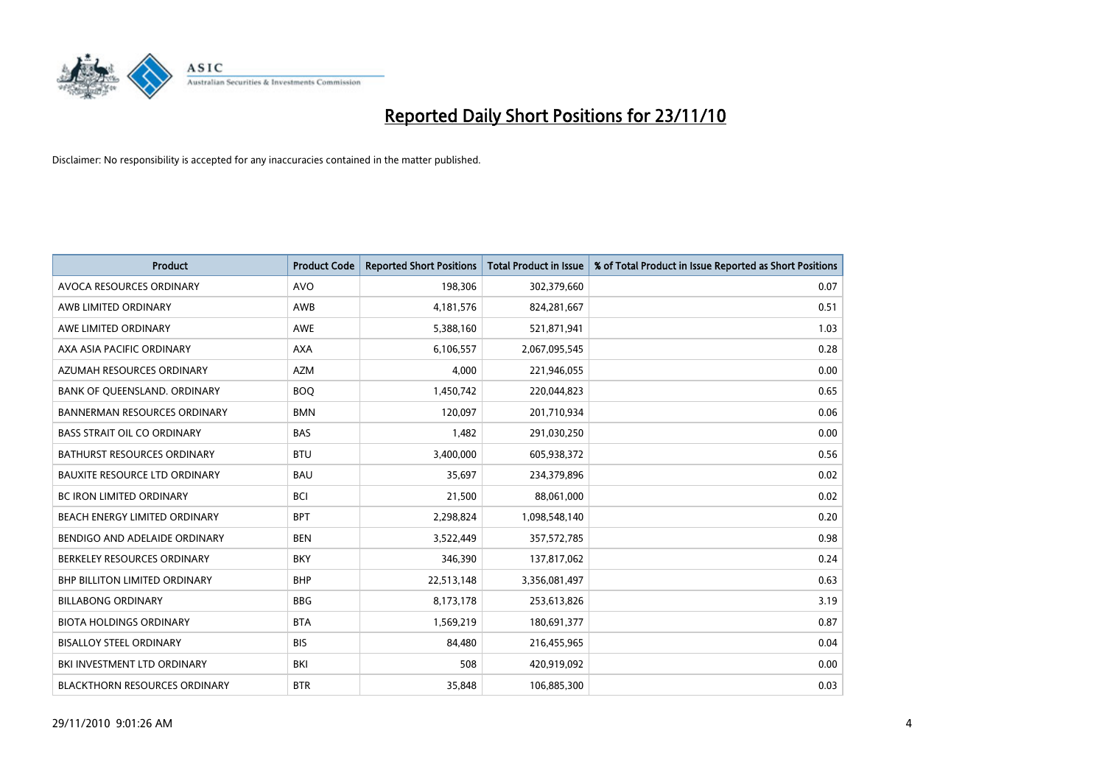

| Product                              | <b>Product Code</b> | <b>Reported Short Positions</b> | <b>Total Product in Issue</b> | % of Total Product in Issue Reported as Short Positions |
|--------------------------------------|---------------------|---------------------------------|-------------------------------|---------------------------------------------------------|
| AVOCA RESOURCES ORDINARY             | <b>AVO</b>          | 198,306                         | 302,379,660                   | 0.07                                                    |
| AWB LIMITED ORDINARY                 | AWB                 | 4,181,576                       | 824,281,667                   | 0.51                                                    |
| AWE LIMITED ORDINARY                 | <b>AWE</b>          | 5,388,160                       | 521,871,941                   | 1.03                                                    |
| AXA ASIA PACIFIC ORDINARY            | <b>AXA</b>          | 6,106,557                       | 2,067,095,545                 | 0.28                                                    |
| AZUMAH RESOURCES ORDINARY            | <b>AZM</b>          | 4,000                           | 221,946,055                   | 0.00                                                    |
| BANK OF QUEENSLAND. ORDINARY         | <b>BOQ</b>          | 1,450,742                       | 220,044,823                   | 0.65                                                    |
| <b>BANNERMAN RESOURCES ORDINARY</b>  | <b>BMN</b>          | 120.097                         | 201,710,934                   | 0.06                                                    |
| <b>BASS STRAIT OIL CO ORDINARY</b>   | <b>BAS</b>          | 1,482                           | 291,030,250                   | 0.00                                                    |
| <b>BATHURST RESOURCES ORDINARY</b>   | <b>BTU</b>          | 3,400,000                       | 605,938,372                   | 0.56                                                    |
| <b>BAUXITE RESOURCE LTD ORDINARY</b> | <b>BAU</b>          | 35,697                          | 234,379,896                   | 0.02                                                    |
| BC IRON LIMITED ORDINARY             | <b>BCI</b>          | 21,500                          | 88,061,000                    | 0.02                                                    |
| <b>BEACH ENERGY LIMITED ORDINARY</b> | <b>BPT</b>          | 2,298,824                       | 1,098,548,140                 | 0.20                                                    |
| BENDIGO AND ADELAIDE ORDINARY        | <b>BEN</b>          | 3,522,449                       | 357,572,785                   | 0.98                                                    |
| BERKELEY RESOURCES ORDINARY          | <b>BKY</b>          | 346,390                         | 137,817,062                   | 0.24                                                    |
| <b>BHP BILLITON LIMITED ORDINARY</b> | <b>BHP</b>          | 22,513,148                      | 3,356,081,497                 | 0.63                                                    |
| <b>BILLABONG ORDINARY</b>            | <b>BBG</b>          | 8,173,178                       | 253,613,826                   | 3.19                                                    |
| <b>BIOTA HOLDINGS ORDINARY</b>       | <b>BTA</b>          | 1,569,219                       | 180,691,377                   | 0.87                                                    |
| <b>BISALLOY STEEL ORDINARY</b>       | <b>BIS</b>          | 84,480                          | 216,455,965                   | 0.04                                                    |
| BKI INVESTMENT LTD ORDINARY          | BKI                 | 508                             | 420,919,092                   | 0.00                                                    |
| <b>BLACKTHORN RESOURCES ORDINARY</b> | <b>BTR</b>          | 35,848                          | 106,885,300                   | 0.03                                                    |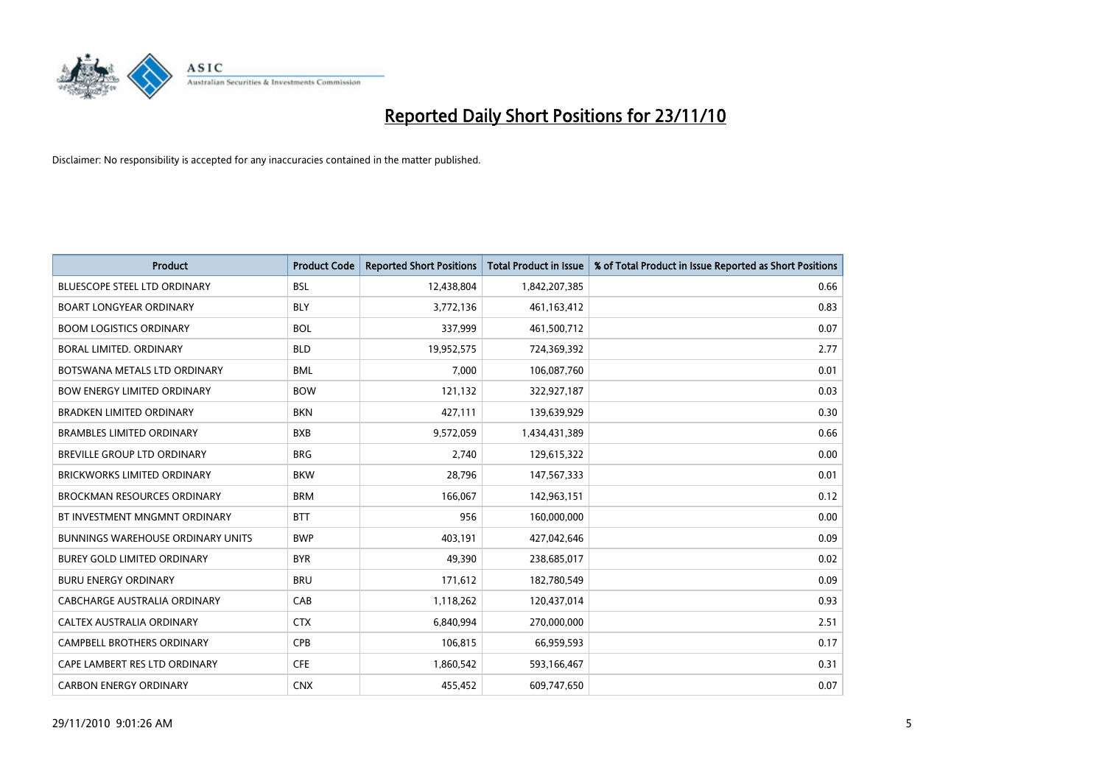

| <b>Product</b>                           | <b>Product Code</b> | <b>Reported Short Positions</b> | <b>Total Product in Issue</b> | % of Total Product in Issue Reported as Short Positions |
|------------------------------------------|---------------------|---------------------------------|-------------------------------|---------------------------------------------------------|
| <b>BLUESCOPE STEEL LTD ORDINARY</b>      | <b>BSL</b>          | 12,438,804                      | 1,842,207,385                 | 0.66                                                    |
| <b>BOART LONGYEAR ORDINARY</b>           | <b>BLY</b>          | 3,772,136                       | 461,163,412                   | 0.83                                                    |
| <b>BOOM LOGISTICS ORDINARY</b>           | <b>BOL</b>          | 337,999                         | 461,500,712                   | 0.07                                                    |
| BORAL LIMITED. ORDINARY                  | <b>BLD</b>          | 19,952,575                      | 724,369,392                   | 2.77                                                    |
| BOTSWANA METALS LTD ORDINARY             | <b>BML</b>          | 7,000                           | 106,087,760                   | 0.01                                                    |
| <b>BOW ENERGY LIMITED ORDINARY</b>       | <b>BOW</b>          | 121,132                         | 322,927,187                   | 0.03                                                    |
| <b>BRADKEN LIMITED ORDINARY</b>          | <b>BKN</b>          | 427,111                         | 139,639,929                   | 0.30                                                    |
| <b>BRAMBLES LIMITED ORDINARY</b>         | <b>BXB</b>          | 9,572,059                       | 1,434,431,389                 | 0.66                                                    |
| BREVILLE GROUP LTD ORDINARY              | <b>BRG</b>          | 2,740                           | 129,615,322                   | 0.00                                                    |
| <b>BRICKWORKS LIMITED ORDINARY</b>       | <b>BKW</b>          | 28,796                          | 147,567,333                   | 0.01                                                    |
| <b>BROCKMAN RESOURCES ORDINARY</b>       | <b>BRM</b>          | 166,067                         | 142,963,151                   | 0.12                                                    |
| BT INVESTMENT MNGMNT ORDINARY            | <b>BTT</b>          | 956                             | 160,000,000                   | 0.00                                                    |
| <b>BUNNINGS WAREHOUSE ORDINARY UNITS</b> | <b>BWP</b>          | 403,191                         | 427,042,646                   | 0.09                                                    |
| <b>BUREY GOLD LIMITED ORDINARY</b>       | <b>BYR</b>          | 49,390                          | 238,685,017                   | 0.02                                                    |
| <b>BURU ENERGY ORDINARY</b>              | <b>BRU</b>          | 171,612                         | 182,780,549                   | 0.09                                                    |
| CABCHARGE AUSTRALIA ORDINARY             | CAB                 | 1,118,262                       | 120,437,014                   | 0.93                                                    |
| CALTEX AUSTRALIA ORDINARY                | <b>CTX</b>          | 6,840,994                       | 270,000,000                   | 2.51                                                    |
| CAMPBELL BROTHERS ORDINARY               | <b>CPB</b>          | 106,815                         | 66,959,593                    | 0.17                                                    |
| CAPE LAMBERT RES LTD ORDINARY            | <b>CFE</b>          | 1,860,542                       | 593,166,467                   | 0.31                                                    |
| <b>CARBON ENERGY ORDINARY</b>            | <b>CNX</b>          | 455,452                         | 609,747,650                   | 0.07                                                    |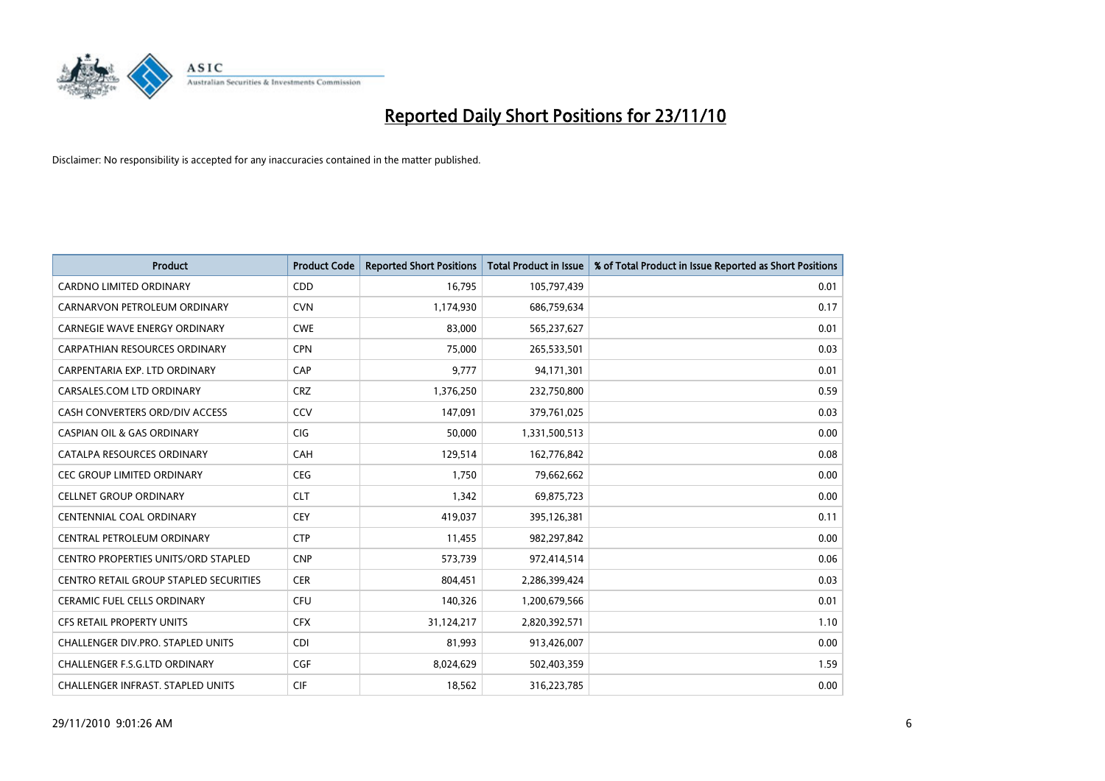

| <b>Product</b>                                | <b>Product Code</b> | <b>Reported Short Positions</b> | <b>Total Product in Issue</b> | % of Total Product in Issue Reported as Short Positions |
|-----------------------------------------------|---------------------|---------------------------------|-------------------------------|---------------------------------------------------------|
| <b>CARDNO LIMITED ORDINARY</b>                | CDD                 | 16,795                          | 105,797,439                   | 0.01                                                    |
| CARNARVON PETROLEUM ORDINARY                  | <b>CVN</b>          | 1,174,930                       | 686,759,634                   | 0.17                                                    |
| <b>CARNEGIE WAVE ENERGY ORDINARY</b>          | <b>CWE</b>          | 83,000                          | 565,237,627                   | 0.01                                                    |
| CARPATHIAN RESOURCES ORDINARY                 | <b>CPN</b>          | 75,000                          | 265,533,501                   | 0.03                                                    |
| CARPENTARIA EXP. LTD ORDINARY                 | CAP                 | 9,777                           | 94,171,301                    | 0.01                                                    |
| CARSALES.COM LTD ORDINARY                     | <b>CRZ</b>          | 1,376,250                       | 232,750,800                   | 0.59                                                    |
| CASH CONVERTERS ORD/DIV ACCESS                | CCV                 | 147,091                         | 379,761,025                   | 0.03                                                    |
| <b>CASPIAN OIL &amp; GAS ORDINARY</b>         | <b>CIG</b>          | 50,000                          | 1,331,500,513                 | 0.00                                                    |
| CATALPA RESOURCES ORDINARY                    | CAH                 | 129,514                         | 162,776,842                   | 0.08                                                    |
| CEC GROUP LIMITED ORDINARY                    | <b>CEG</b>          | 1,750                           | 79,662,662                    | 0.00                                                    |
| <b>CELLNET GROUP ORDINARY</b>                 | <b>CLT</b>          | 1,342                           | 69,875,723                    | 0.00                                                    |
| CENTENNIAL COAL ORDINARY                      | <b>CEY</b>          | 419,037                         | 395,126,381                   | 0.11                                                    |
| CENTRAL PETROLEUM ORDINARY                    | <b>CTP</b>          | 11,455                          | 982,297,842                   | 0.00                                                    |
| <b>CENTRO PROPERTIES UNITS/ORD STAPLED</b>    | <b>CNP</b>          | 573,739                         | 972,414,514                   | 0.06                                                    |
| <b>CENTRO RETAIL GROUP STAPLED SECURITIES</b> | <b>CER</b>          | 804,451                         | 2,286,399,424                 | 0.03                                                    |
| <b>CERAMIC FUEL CELLS ORDINARY</b>            | <b>CFU</b>          | 140,326                         | 1,200,679,566                 | 0.01                                                    |
| <b>CFS RETAIL PROPERTY UNITS</b>              | <b>CFX</b>          | 31,124,217                      | 2,820,392,571                 | 1.10                                                    |
| CHALLENGER DIV.PRO. STAPLED UNITS             | <b>CDI</b>          | 81,993                          | 913,426,007                   | 0.00                                                    |
| <b>CHALLENGER F.S.G.LTD ORDINARY</b>          | <b>CGF</b>          | 8,024,629                       | 502,403,359                   | 1.59                                                    |
| <b>CHALLENGER INFRAST. STAPLED UNITS</b>      | <b>CIF</b>          | 18,562                          | 316,223,785                   | 0.00                                                    |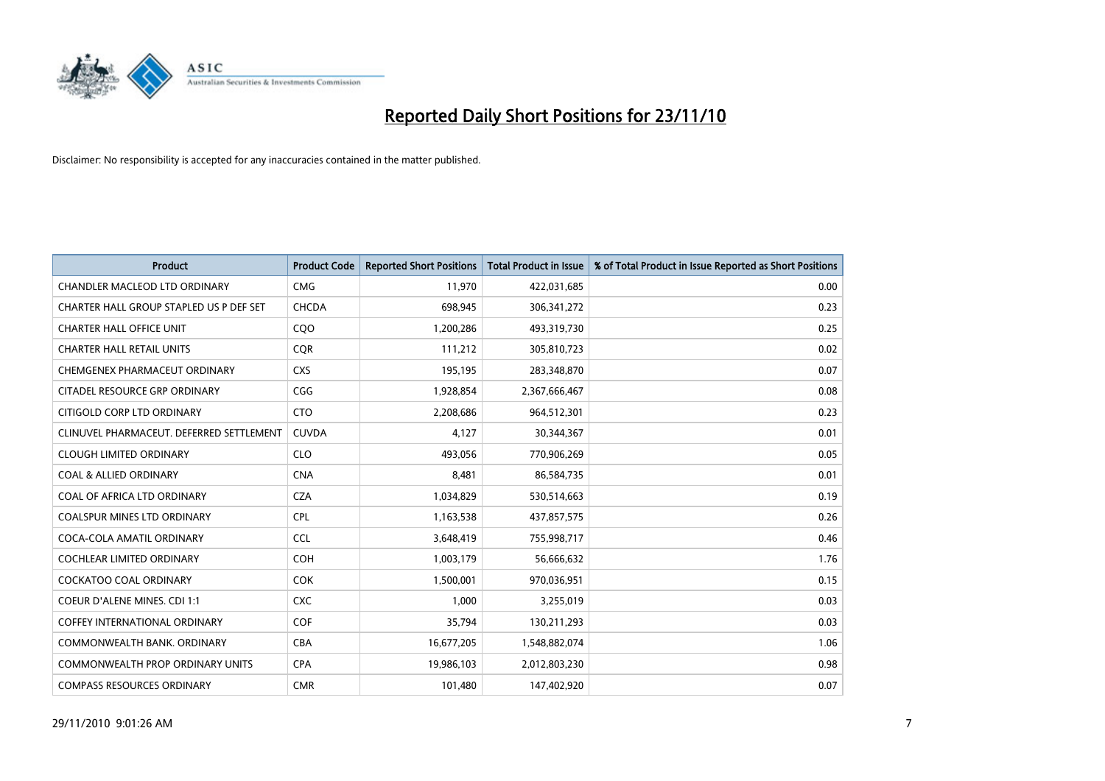

| <b>Product</b>                           | <b>Product Code</b> | <b>Reported Short Positions</b> | Total Product in Issue | % of Total Product in Issue Reported as Short Positions |
|------------------------------------------|---------------------|---------------------------------|------------------------|---------------------------------------------------------|
| <b>CHANDLER MACLEOD LTD ORDINARY</b>     | <b>CMG</b>          | 11,970                          | 422,031,685            | 0.00                                                    |
| CHARTER HALL GROUP STAPLED US P DEF SET  | <b>CHCDA</b>        | 698,945                         | 306, 341, 272          | 0.23                                                    |
| <b>CHARTER HALL OFFICE UNIT</b>          | CQO                 | 1,200,286                       | 493,319,730            | 0.25                                                    |
| <b>CHARTER HALL RETAIL UNITS</b>         | <b>COR</b>          | 111,212                         | 305,810,723            | 0.02                                                    |
| CHEMGENEX PHARMACEUT ORDINARY            | <b>CXS</b>          | 195,195                         | 283,348,870            | 0.07                                                    |
| CITADEL RESOURCE GRP ORDINARY            | CGG                 | 1,928,854                       | 2,367,666,467          | 0.08                                                    |
| CITIGOLD CORP LTD ORDINARY               | <b>CTO</b>          | 2,208,686                       | 964,512,301            | 0.23                                                    |
| CLINUVEL PHARMACEUT. DEFERRED SETTLEMENT | <b>CUVDA</b>        | 4,127                           | 30,344,367             | 0.01                                                    |
| <b>CLOUGH LIMITED ORDINARY</b>           | <b>CLO</b>          | 493,056                         | 770,906,269            | 0.05                                                    |
| <b>COAL &amp; ALLIED ORDINARY</b>        | <b>CNA</b>          | 8,481                           | 86,584,735             | 0.01                                                    |
| COAL OF AFRICA LTD ORDINARY              | <b>CZA</b>          | 1,034,829                       | 530,514,663            | 0.19                                                    |
| <b>COALSPUR MINES LTD ORDINARY</b>       | <b>CPL</b>          | 1,163,538                       | 437,857,575            | 0.26                                                    |
| COCA-COLA AMATIL ORDINARY                | <b>CCL</b>          | 3,648,419                       | 755,998,717            | 0.46                                                    |
| <b>COCHLEAR LIMITED ORDINARY</b>         | <b>COH</b>          | 1,003,179                       | 56,666,632             | 1.76                                                    |
| <b>COCKATOO COAL ORDINARY</b>            | <b>COK</b>          | 1,500,001                       | 970,036,951            | 0.15                                                    |
| <b>COEUR D'ALENE MINES. CDI 1:1</b>      | <b>CXC</b>          | 1,000                           | 3,255,019              | 0.03                                                    |
| <b>COFFEY INTERNATIONAL ORDINARY</b>     | <b>COF</b>          | 35,794                          | 130,211,293            | 0.03                                                    |
| COMMONWEALTH BANK, ORDINARY              | <b>CBA</b>          | 16,677,205                      | 1,548,882,074          | 1.06                                                    |
| <b>COMMONWEALTH PROP ORDINARY UNITS</b>  | <b>CPA</b>          | 19,986,103                      | 2,012,803,230          | 0.98                                                    |
| <b>COMPASS RESOURCES ORDINARY</b>        | <b>CMR</b>          | 101,480                         | 147,402,920            | 0.07                                                    |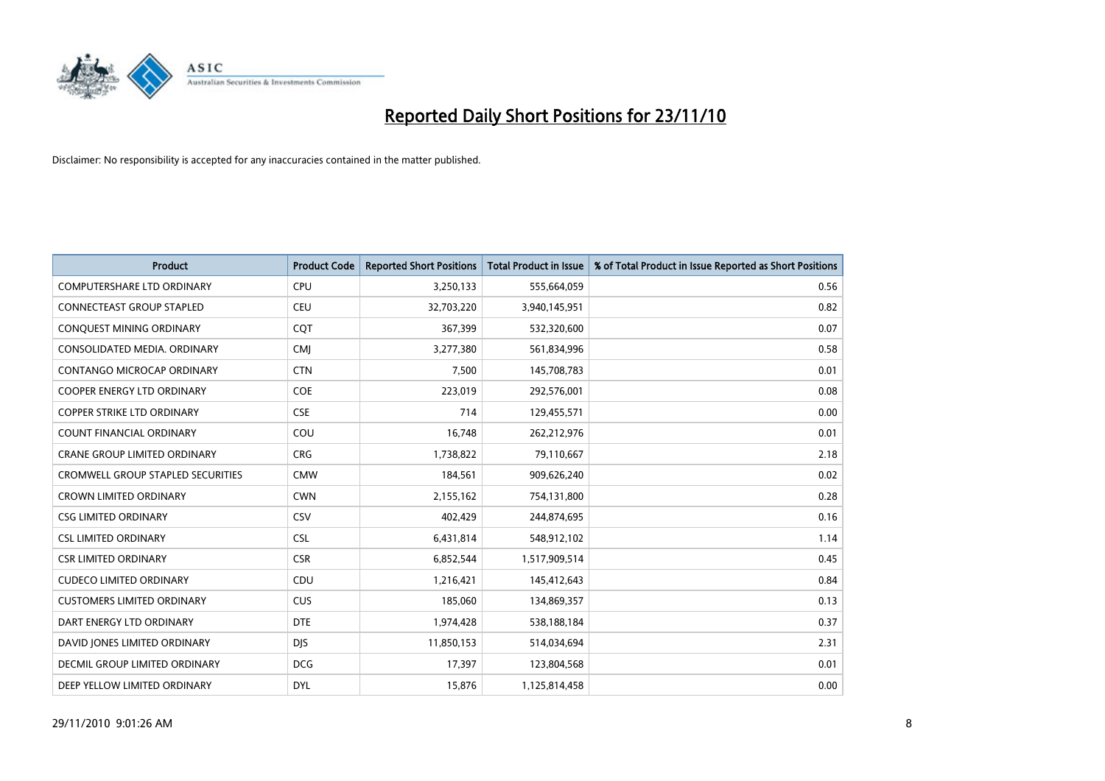

| <b>Product</b>                           | <b>Product Code</b> | <b>Reported Short Positions</b> | <b>Total Product in Issue</b> | % of Total Product in Issue Reported as Short Positions |
|------------------------------------------|---------------------|---------------------------------|-------------------------------|---------------------------------------------------------|
| <b>COMPUTERSHARE LTD ORDINARY</b>        | <b>CPU</b>          | 3,250,133                       | 555,664,059                   | 0.56                                                    |
| <b>CONNECTEAST GROUP STAPLED</b>         | <b>CEU</b>          | 32,703,220                      | 3,940,145,951                 | 0.82                                                    |
| CONQUEST MINING ORDINARY                 | CQT                 | 367,399                         | 532,320,600                   | 0.07                                                    |
| CONSOLIDATED MEDIA. ORDINARY             | <b>CMI</b>          | 3,277,380                       | 561,834,996                   | 0.58                                                    |
| <b>CONTANGO MICROCAP ORDINARY</b>        | <b>CTN</b>          | 7,500                           | 145,708,783                   | 0.01                                                    |
| <b>COOPER ENERGY LTD ORDINARY</b>        | <b>COE</b>          | 223,019                         | 292,576,001                   | 0.08                                                    |
| <b>COPPER STRIKE LTD ORDINARY</b>        | <b>CSE</b>          | 714                             | 129,455,571                   | 0.00                                                    |
| <b>COUNT FINANCIAL ORDINARY</b>          | COU                 | 16,748                          | 262,212,976                   | 0.01                                                    |
| CRANE GROUP LIMITED ORDINARY             | <b>CRG</b>          | 1,738,822                       | 79,110,667                    | 2.18                                                    |
| <b>CROMWELL GROUP STAPLED SECURITIES</b> | <b>CMW</b>          | 184,561                         | 909,626,240                   | 0.02                                                    |
| <b>CROWN LIMITED ORDINARY</b>            | <b>CWN</b>          | 2,155,162                       | 754,131,800                   | 0.28                                                    |
| <b>CSG LIMITED ORDINARY</b>              | CSV                 | 402,429                         | 244,874,695                   | 0.16                                                    |
| <b>CSL LIMITED ORDINARY</b>              | <b>CSL</b>          | 6,431,814                       | 548,912,102                   | 1.14                                                    |
| <b>CSR LIMITED ORDINARY</b>              | <b>CSR</b>          | 6,852,544                       | 1,517,909,514                 | 0.45                                                    |
| <b>CUDECO LIMITED ORDINARY</b>           | CDU                 | 1,216,421                       | 145,412,643                   | 0.84                                                    |
| <b>CUSTOMERS LIMITED ORDINARY</b>        | <b>CUS</b>          | 185,060                         | 134,869,357                   | 0.13                                                    |
| DART ENERGY LTD ORDINARY                 | <b>DTE</b>          | 1,974,428                       | 538,188,184                   | 0.37                                                    |
| DAVID JONES LIMITED ORDINARY             | <b>DJS</b>          | 11,850,153                      | 514,034,694                   | 2.31                                                    |
| <b>DECMIL GROUP LIMITED ORDINARY</b>     | <b>DCG</b>          | 17,397                          | 123,804,568                   | 0.01                                                    |
| DEEP YELLOW LIMITED ORDINARY             | <b>DYL</b>          | 15,876                          | 1,125,814,458                 | 0.00                                                    |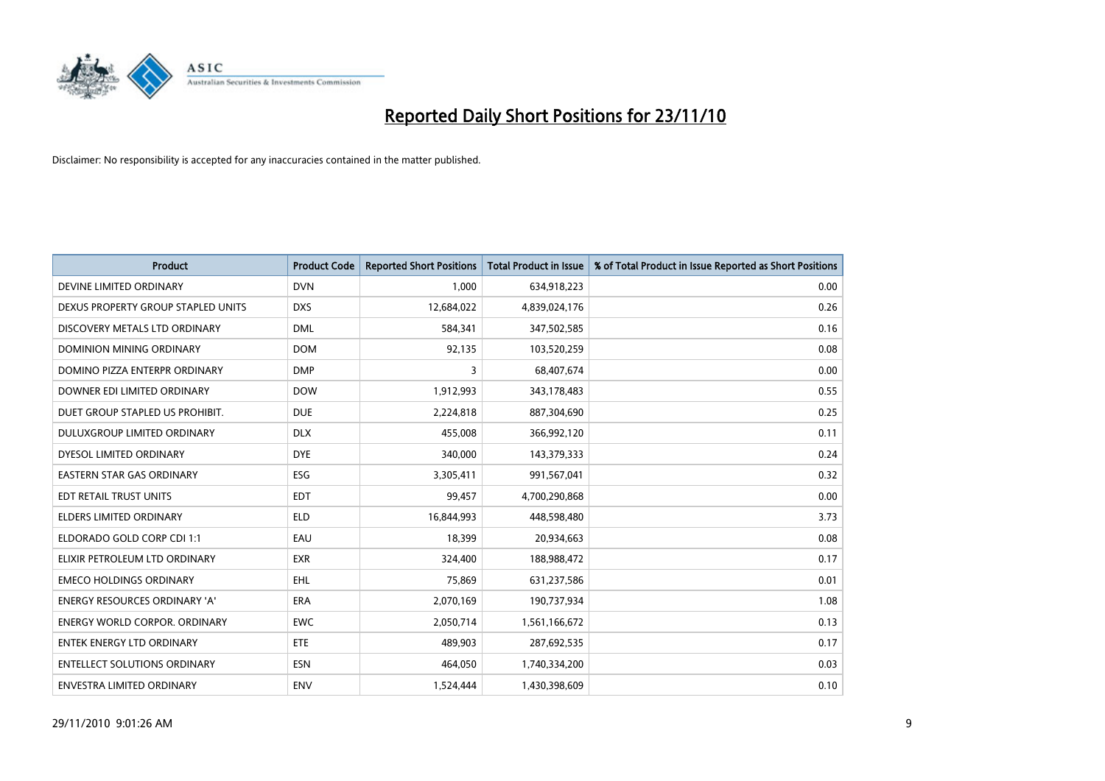

| <b>Product</b>                       | <b>Product Code</b> | <b>Reported Short Positions</b> | Total Product in Issue | % of Total Product in Issue Reported as Short Positions |
|--------------------------------------|---------------------|---------------------------------|------------------------|---------------------------------------------------------|
| DEVINE LIMITED ORDINARY              | <b>DVN</b>          | 1,000                           | 634,918,223            | 0.00                                                    |
| DEXUS PROPERTY GROUP STAPLED UNITS   | <b>DXS</b>          | 12,684,022                      | 4,839,024,176          | 0.26                                                    |
| DISCOVERY METALS LTD ORDINARY        | <b>DML</b>          | 584,341                         | 347,502,585            | 0.16                                                    |
| DOMINION MINING ORDINARY             | <b>DOM</b>          | 92,135                          | 103,520,259            | 0.08                                                    |
| DOMINO PIZZA ENTERPR ORDINARY        | <b>DMP</b>          | 3                               | 68,407,674             | 0.00                                                    |
| DOWNER EDI LIMITED ORDINARY          | <b>DOW</b>          | 1,912,993                       | 343,178,483            | 0.55                                                    |
| DUET GROUP STAPLED US PROHIBIT.      | <b>DUE</b>          | 2,224,818                       | 887,304,690            | 0.25                                                    |
| DULUXGROUP LIMITED ORDINARY          | <b>DLX</b>          | 455,008                         | 366,992,120            | 0.11                                                    |
| DYESOL LIMITED ORDINARY              | <b>DYE</b>          | 340,000                         | 143,379,333            | 0.24                                                    |
| <b>EASTERN STAR GAS ORDINARY</b>     | <b>ESG</b>          | 3,305,411                       | 991,567,041            | 0.32                                                    |
| EDT RETAIL TRUST UNITS               | <b>EDT</b>          | 99,457                          | 4,700,290,868          | 0.00                                                    |
| <b>ELDERS LIMITED ORDINARY</b>       | <b>ELD</b>          | 16,844,993                      | 448,598,480            | 3.73                                                    |
| ELDORADO GOLD CORP CDI 1:1           | EAU                 | 18,399                          | 20,934,663             | 0.08                                                    |
| ELIXIR PETROLEUM LTD ORDINARY        | <b>EXR</b>          | 324,400                         | 188,988,472            | 0.17                                                    |
| <b>EMECO HOLDINGS ORDINARY</b>       | <b>EHL</b>          | 75,869                          | 631,237,586            | 0.01                                                    |
| <b>ENERGY RESOURCES ORDINARY 'A'</b> | <b>ERA</b>          | 2,070,169                       | 190,737,934            | 1.08                                                    |
| <b>ENERGY WORLD CORPOR, ORDINARY</b> | <b>EWC</b>          | 2,050,714                       | 1,561,166,672          | 0.13                                                    |
| <b>ENTEK ENERGY LTD ORDINARY</b>     | ETE                 | 489,903                         | 287,692,535            | 0.17                                                    |
| <b>ENTELLECT SOLUTIONS ORDINARY</b>  | <b>ESN</b>          | 464,050                         | 1,740,334,200          | 0.03                                                    |
| ENVESTRA LIMITED ORDINARY            | ENV                 | 1,524,444                       | 1,430,398,609          | 0.10                                                    |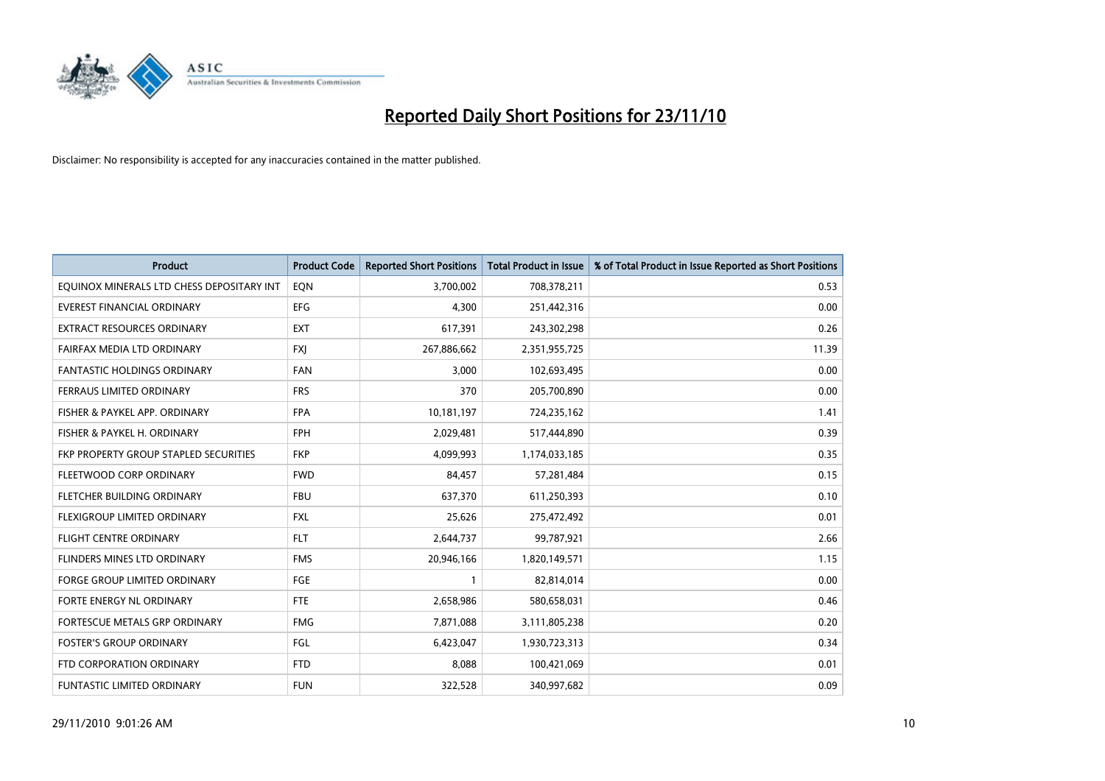

| Product                                   | <b>Product Code</b> | <b>Reported Short Positions</b> | <b>Total Product in Issue</b> | % of Total Product in Issue Reported as Short Positions |
|-------------------------------------------|---------------------|---------------------------------|-------------------------------|---------------------------------------------------------|
| EQUINOX MINERALS LTD CHESS DEPOSITARY INT | EON                 | 3,700,002                       | 708,378,211                   | 0.53                                                    |
| EVEREST FINANCIAL ORDINARY                | <b>EFG</b>          | 4,300                           | 251,442,316                   | 0.00                                                    |
| EXTRACT RESOURCES ORDINARY                | <b>EXT</b>          | 617,391                         | 243,302,298                   | 0.26                                                    |
| FAIRFAX MEDIA LTD ORDINARY                | <b>FXJ</b>          | 267,886,662                     | 2,351,955,725                 | 11.39                                                   |
| <b>FANTASTIC HOLDINGS ORDINARY</b>        | <b>FAN</b>          | 3,000                           | 102,693,495                   | 0.00                                                    |
| FERRAUS LIMITED ORDINARY                  | <b>FRS</b>          | 370                             | 205,700,890                   | 0.00                                                    |
| FISHER & PAYKEL APP. ORDINARY             | <b>FPA</b>          | 10,181,197                      | 724,235,162                   | 1.41                                                    |
| FISHER & PAYKEL H. ORDINARY               | <b>FPH</b>          | 2,029,481                       | 517,444,890                   | 0.39                                                    |
| FKP PROPERTY GROUP STAPLED SECURITIES     | <b>FKP</b>          | 4,099,993                       | 1,174,033,185                 | 0.35                                                    |
| FLEETWOOD CORP ORDINARY                   | <b>FWD</b>          | 84,457                          | 57,281,484                    | 0.15                                                    |
| FLETCHER BUILDING ORDINARY                | <b>FBU</b>          | 637,370                         | 611,250,393                   | 0.10                                                    |
| FLEXIGROUP LIMITED ORDINARY               | <b>FXL</b>          | 25,626                          | 275,472,492                   | 0.01                                                    |
| <b>FLIGHT CENTRE ORDINARY</b>             | <b>FLT</b>          | 2,644,737                       | 99,787,921                    | 2.66                                                    |
| FLINDERS MINES LTD ORDINARY               | <b>FMS</b>          | 20,946,166                      | 1,820,149,571                 | 1.15                                                    |
| <b>FORGE GROUP LIMITED ORDINARY</b>       | FGE                 |                                 | 82,814,014                    | 0.00                                                    |
| FORTE ENERGY NL ORDINARY                  | <b>FTE</b>          | 2,658,986                       | 580,658,031                   | 0.46                                                    |
| FORTESCUE METALS GRP ORDINARY             | <b>FMG</b>          | 7,871,088                       | 3,111,805,238                 | 0.20                                                    |
| <b>FOSTER'S GROUP ORDINARY</b>            | FGL                 | 6,423,047                       | 1,930,723,313                 | 0.34                                                    |
| FTD CORPORATION ORDINARY                  | <b>FTD</b>          | 8,088                           | 100,421,069                   | 0.01                                                    |
| <b>FUNTASTIC LIMITED ORDINARY</b>         | <b>FUN</b>          | 322,528                         | 340,997,682                   | 0.09                                                    |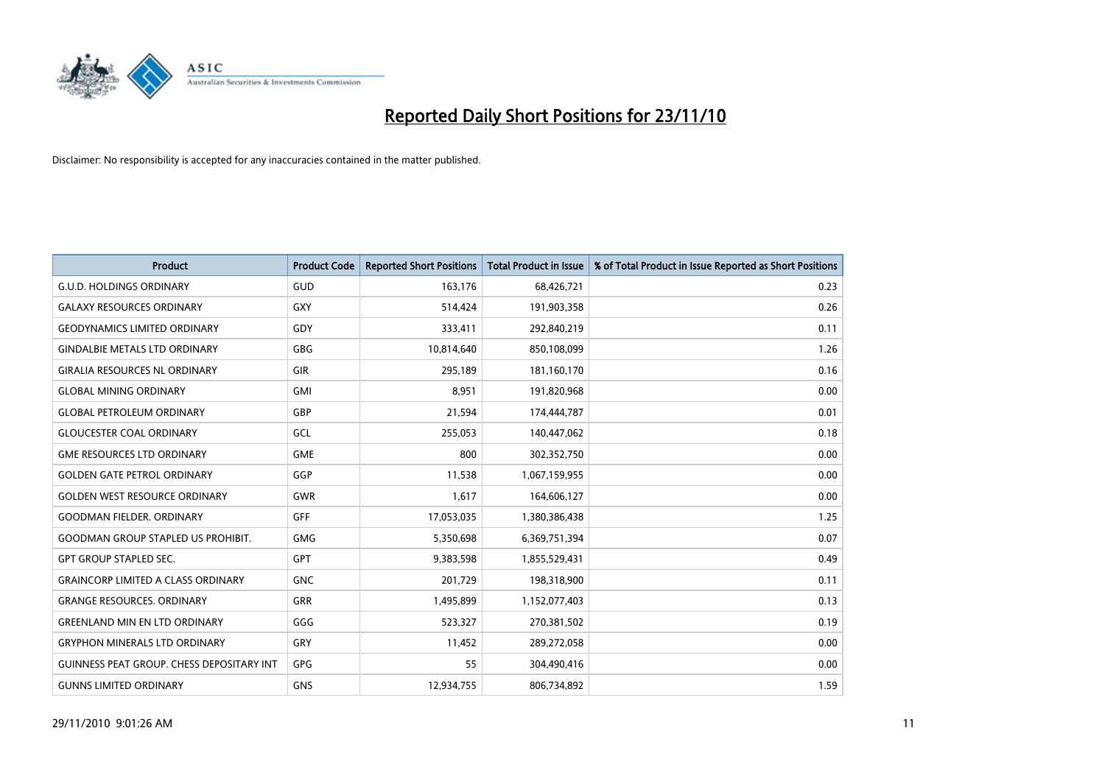

| <b>Product</b>                                   | <b>Product Code</b> | <b>Reported Short Positions</b> | Total Product in Issue | % of Total Product in Issue Reported as Short Positions |
|--------------------------------------------------|---------------------|---------------------------------|------------------------|---------------------------------------------------------|
| <b>G.U.D. HOLDINGS ORDINARY</b>                  | <b>GUD</b>          | 163,176                         | 68,426,721             | 0.23                                                    |
| <b>GALAXY RESOURCES ORDINARY</b>                 | <b>GXY</b>          | 514,424                         | 191,903,358            | 0.26                                                    |
| <b>GEODYNAMICS LIMITED ORDINARY</b>              | GDY                 | 333,411                         | 292,840,219            | 0.11                                                    |
| <b>GINDALBIE METALS LTD ORDINARY</b>             | <b>GBG</b>          | 10,814,640                      | 850,108,099            | 1.26                                                    |
| <b>GIRALIA RESOURCES NL ORDINARY</b>             | <b>GIR</b>          | 295,189                         | 181,160,170            | 0.16                                                    |
| <b>GLOBAL MINING ORDINARY</b>                    | <b>GMI</b>          | 8,951                           | 191,820,968            | 0.00                                                    |
| <b>GLOBAL PETROLEUM ORDINARY</b>                 | GBP                 | 21,594                          | 174,444,787            | 0.01                                                    |
| <b>GLOUCESTER COAL ORDINARY</b>                  | GCL                 | 255,053                         | 140,447,062            | 0.18                                                    |
| <b>GME RESOURCES LTD ORDINARY</b>                | <b>GME</b>          | 800                             | 302,352,750            | 0.00                                                    |
| <b>GOLDEN GATE PETROL ORDINARY</b>               | GGP                 | 11,538                          | 1,067,159,955          | 0.00                                                    |
| <b>GOLDEN WEST RESOURCE ORDINARY</b>             | <b>GWR</b>          | 1,617                           | 164,606,127            | 0.00                                                    |
| <b>GOODMAN FIELDER, ORDINARY</b>                 | <b>GFF</b>          | 17,053,035                      | 1,380,386,438          | 1.25                                                    |
| <b>GOODMAN GROUP STAPLED US PROHIBIT.</b>        | <b>GMG</b>          | 5,350,698                       | 6,369,751,394          | 0.07                                                    |
| <b>GPT GROUP STAPLED SEC.</b>                    | GPT                 | 9,383,598                       | 1,855,529,431          | 0.49                                                    |
| <b>GRAINCORP LIMITED A CLASS ORDINARY</b>        | <b>GNC</b>          | 201,729                         | 198,318,900            | 0.11                                                    |
| <b>GRANGE RESOURCES, ORDINARY</b>                | <b>GRR</b>          | 1,495,899                       | 1,152,077,403          | 0.13                                                    |
| <b>GREENLAND MIN EN LTD ORDINARY</b>             | GGG                 | 523,327                         | 270,381,502            | 0.19                                                    |
| <b>GRYPHON MINERALS LTD ORDINARY</b>             | GRY                 | 11,452                          | 289,272,058            | 0.00                                                    |
| <b>GUINNESS PEAT GROUP. CHESS DEPOSITARY INT</b> | <b>GPG</b>          | 55                              | 304,490,416            | 0.00                                                    |
| <b>GUNNS LIMITED ORDINARY</b>                    | <b>GNS</b>          | 12,934,755                      | 806,734,892            | 1.59                                                    |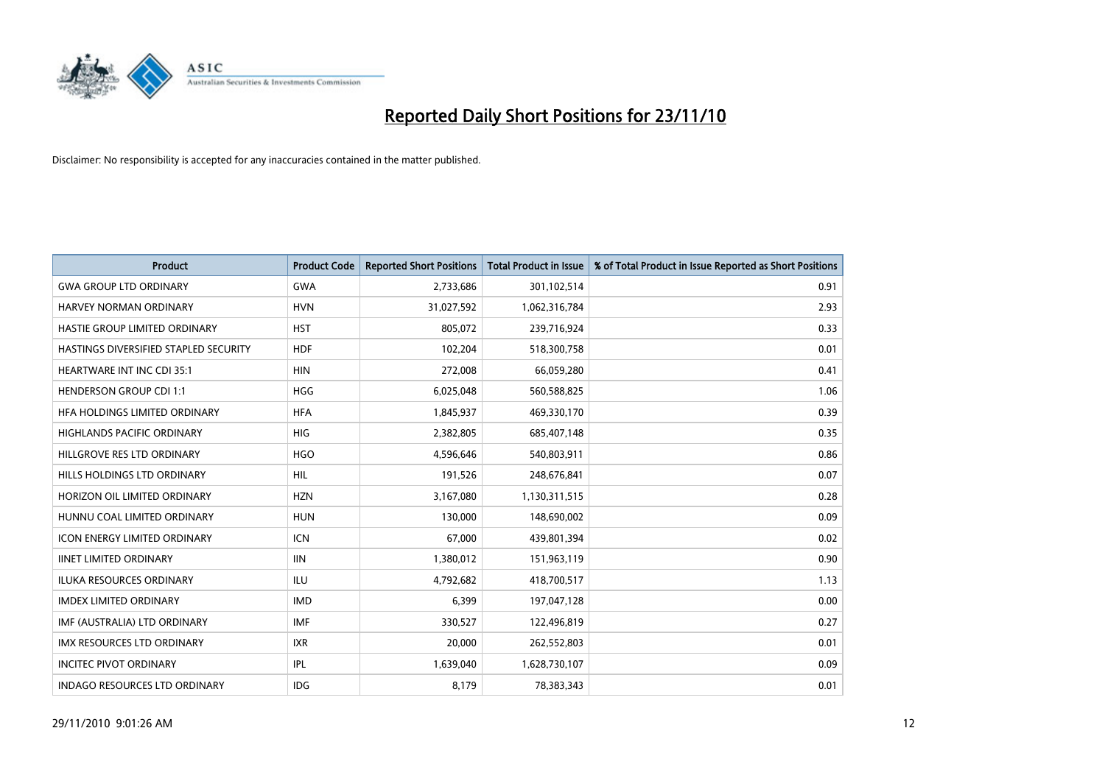

| Product                               | <b>Product Code</b> | <b>Reported Short Positions</b> | Total Product in Issue | % of Total Product in Issue Reported as Short Positions |
|---------------------------------------|---------------------|---------------------------------|------------------------|---------------------------------------------------------|
| <b>GWA GROUP LTD ORDINARY</b>         | <b>GWA</b>          | 2,733,686                       | 301,102,514            | 0.91                                                    |
| <b>HARVEY NORMAN ORDINARY</b>         | <b>HVN</b>          | 31,027,592                      | 1,062,316,784          | 2.93                                                    |
| <b>HASTIE GROUP LIMITED ORDINARY</b>  | <b>HST</b>          | 805,072                         | 239,716,924            | 0.33                                                    |
| HASTINGS DIVERSIFIED STAPLED SECURITY | <b>HDF</b>          | 102,204                         | 518,300,758            | 0.01                                                    |
| <b>HEARTWARE INT INC CDI 35:1</b>     | <b>HIN</b>          | 272,008                         | 66,059,280             | 0.41                                                    |
| <b>HENDERSON GROUP CDI 1:1</b>        | <b>HGG</b>          | 6,025,048                       | 560,588,825            | 1.06                                                    |
| HFA HOLDINGS LIMITED ORDINARY         | <b>HFA</b>          | 1,845,937                       | 469,330,170            | 0.39                                                    |
| HIGHLANDS PACIFIC ORDINARY            | HIG                 | 2,382,805                       | 685,407,148            | 0.35                                                    |
| HILLGROVE RES LTD ORDINARY            | <b>HGO</b>          | 4,596,646                       | 540,803,911            | 0.86                                                    |
| HILLS HOLDINGS LTD ORDINARY           | <b>HIL</b>          | 191,526                         | 248,676,841            | 0.07                                                    |
| HORIZON OIL LIMITED ORDINARY          | <b>HZN</b>          | 3,167,080                       | 1,130,311,515          | 0.28                                                    |
| HUNNU COAL LIMITED ORDINARY           | <b>HUN</b>          | 130.000                         | 148,690,002            | 0.09                                                    |
| <b>ICON ENERGY LIMITED ORDINARY</b>   | <b>ICN</b>          | 67,000                          | 439,801,394            | 0.02                                                    |
| <b>IINET LIMITED ORDINARY</b>         | <b>IIN</b>          | 1,380,012                       | 151,963,119            | 0.90                                                    |
| <b>ILUKA RESOURCES ORDINARY</b>       | ILU                 | 4,792,682                       | 418,700,517            | 1.13                                                    |
| <b>IMDEX LIMITED ORDINARY</b>         | <b>IMD</b>          | 6,399                           | 197,047,128            | 0.00                                                    |
| IMF (AUSTRALIA) LTD ORDINARY          | <b>IMF</b>          | 330,527                         | 122,496,819            | 0.27                                                    |
| IMX RESOURCES LTD ORDINARY            | <b>IXR</b>          | 20,000                          | 262,552,803            | 0.01                                                    |
| <b>INCITEC PIVOT ORDINARY</b>         | IPL                 | 1,639,040                       | 1,628,730,107          | 0.09                                                    |
| <b>INDAGO RESOURCES LTD ORDINARY</b>  | IDG                 | 8,179                           | 78,383,343             | 0.01                                                    |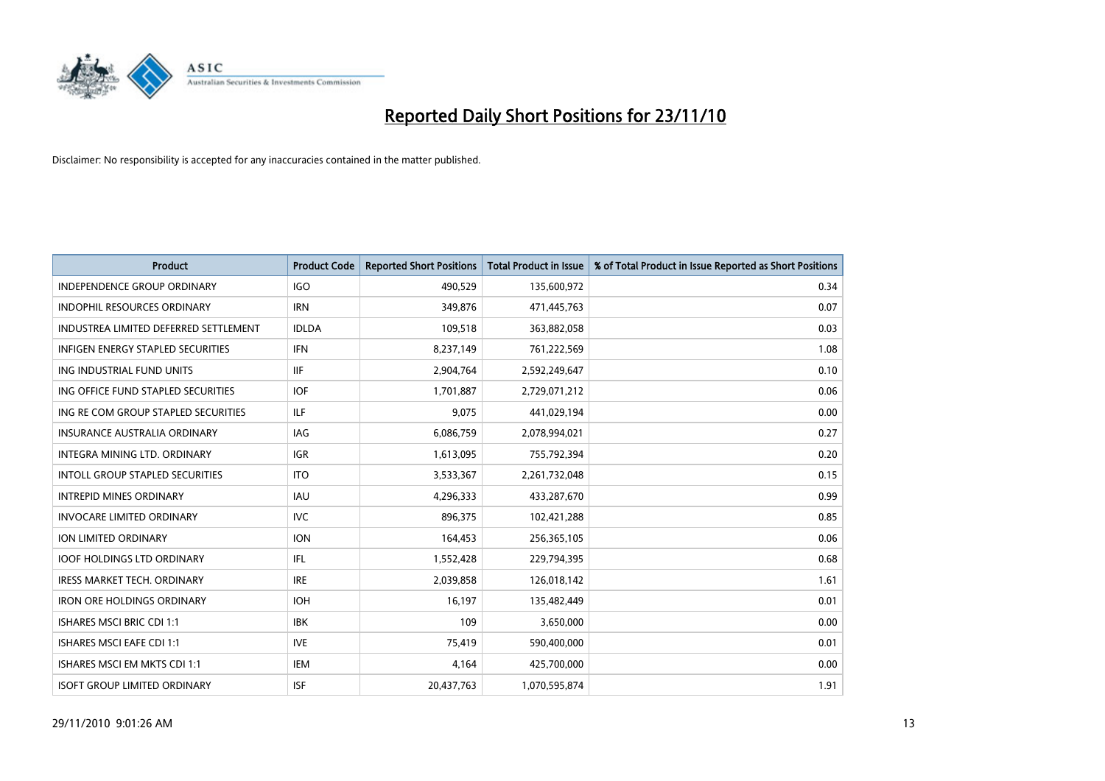

| Product                                  | <b>Product Code</b> | <b>Reported Short Positions</b> | Total Product in Issue | % of Total Product in Issue Reported as Short Positions |
|------------------------------------------|---------------------|---------------------------------|------------------------|---------------------------------------------------------|
| <b>INDEPENDENCE GROUP ORDINARY</b>       | <b>IGO</b>          | 490,529                         | 135,600,972            | 0.34                                                    |
| INDOPHIL RESOURCES ORDINARY              | <b>IRN</b>          | 349,876                         | 471,445,763            | 0.07                                                    |
| INDUSTREA LIMITED DEFERRED SETTLEMENT    | <b>IDLDA</b>        | 109,518                         | 363,882,058            | 0.03                                                    |
| <b>INFIGEN ENERGY STAPLED SECURITIES</b> | <b>IFN</b>          | 8,237,149                       | 761,222,569            | 1.08                                                    |
| ING INDUSTRIAL FUND UNITS                | <b>IIF</b>          | 2,904,764                       | 2,592,249,647          | 0.10                                                    |
| ING OFFICE FUND STAPLED SECURITIES       | <b>IOF</b>          | 1,701,887                       | 2,729,071,212          | 0.06                                                    |
| ING RE COM GROUP STAPLED SECURITIES      | <b>ILF</b>          | 9,075                           | 441,029,194            | 0.00                                                    |
| <b>INSURANCE AUSTRALIA ORDINARY</b>      | IAG                 | 6,086,759                       | 2,078,994,021          | 0.27                                                    |
| INTEGRA MINING LTD. ORDINARY             | <b>IGR</b>          | 1,613,095                       | 755,792,394            | 0.20                                                    |
| <b>INTOLL GROUP STAPLED SECURITIES</b>   | <b>ITO</b>          | 3,533,367                       | 2,261,732,048          | 0.15                                                    |
| <b>INTREPID MINES ORDINARY</b>           | IAU                 | 4,296,333                       | 433,287,670            | 0.99                                                    |
| <b>INVOCARE LIMITED ORDINARY</b>         | <b>IVC</b>          | 896,375                         | 102,421,288            | 0.85                                                    |
| <b>ION LIMITED ORDINARY</b>              | <b>ION</b>          | 164,453                         | 256,365,105            | 0.06                                                    |
| <b>IOOF HOLDINGS LTD ORDINARY</b>        | IFL                 | 1,552,428                       | 229,794,395            | 0.68                                                    |
| IRESS MARKET TECH. ORDINARY              | <b>IRE</b>          | 2,039,858                       | 126,018,142            | 1.61                                                    |
| <b>IRON ORE HOLDINGS ORDINARY</b>        | <b>IOH</b>          | 16,197                          | 135,482,449            | 0.01                                                    |
| <b>ISHARES MSCI BRIC CDI 1:1</b>         | <b>IBK</b>          | 109                             | 3,650,000              | 0.00                                                    |
| ISHARES MSCI EAFE CDI 1:1                | <b>IVE</b>          | 75,419                          | 590,400,000            | 0.01                                                    |
| ISHARES MSCI EM MKTS CDI 1:1             | <b>IEM</b>          | 4,164                           | 425,700,000            | 0.00                                                    |
| <b>ISOFT GROUP LIMITED ORDINARY</b>      | <b>ISF</b>          | 20.437.763                      | 1,070,595,874          | 1.91                                                    |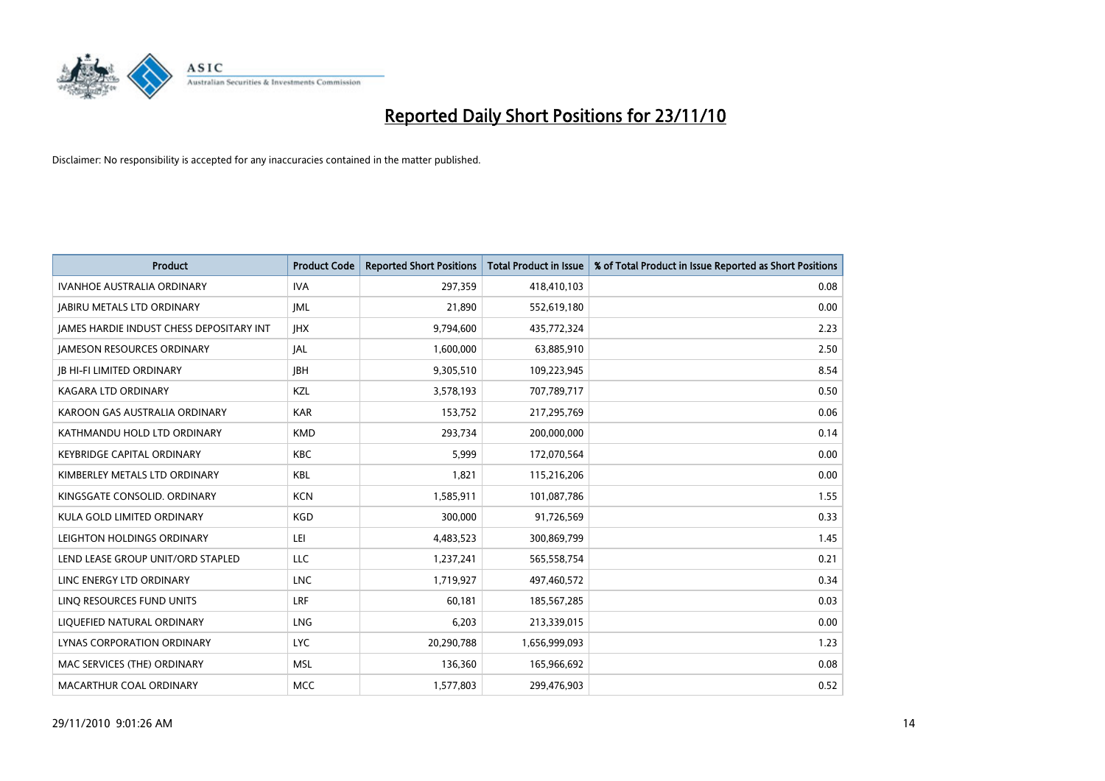

| <b>Product</b>                           | <b>Product Code</b> | <b>Reported Short Positions</b> | <b>Total Product in Issue</b> | % of Total Product in Issue Reported as Short Positions |
|------------------------------------------|---------------------|---------------------------------|-------------------------------|---------------------------------------------------------|
| <b>IVANHOE AUSTRALIA ORDINARY</b>        | <b>IVA</b>          | 297,359                         | 418,410,103                   | 0.08                                                    |
| <b>JABIRU METALS LTD ORDINARY</b>        | <b>JML</b>          | 21,890                          | 552,619,180                   | 0.00                                                    |
| JAMES HARDIE INDUST CHESS DEPOSITARY INT | <b>IHX</b>          | 9,794,600                       | 435,772,324                   | 2.23                                                    |
| <b>JAMESON RESOURCES ORDINARY</b>        | <b>JAL</b>          | 1,600,000                       | 63,885,910                    | 2.50                                                    |
| <b>IB HI-FI LIMITED ORDINARY</b>         | <b>IBH</b>          | 9,305,510                       | 109,223,945                   | 8.54                                                    |
| KAGARA LTD ORDINARY                      | KZL                 | 3,578,193                       | 707,789,717                   | 0.50                                                    |
| KAROON GAS AUSTRALIA ORDINARY            | <b>KAR</b>          | 153,752                         | 217,295,769                   | 0.06                                                    |
| KATHMANDU HOLD LTD ORDINARY              | <b>KMD</b>          | 293,734                         | 200,000,000                   | 0.14                                                    |
| <b>KEYBRIDGE CAPITAL ORDINARY</b>        | <b>KBC</b>          | 5,999                           | 172,070,564                   | 0.00                                                    |
| KIMBERLEY METALS LTD ORDINARY            | <b>KBL</b>          | 1,821                           | 115,216,206                   | 0.00                                                    |
| KINGSGATE CONSOLID. ORDINARY             | <b>KCN</b>          | 1,585,911                       | 101,087,786                   | 1.55                                                    |
| KULA GOLD LIMITED ORDINARY               | <b>KGD</b>          | 300,000                         | 91,726,569                    | 0.33                                                    |
| LEIGHTON HOLDINGS ORDINARY               | LEI                 | 4,483,523                       | 300,869,799                   | 1.45                                                    |
| LEND LEASE GROUP UNIT/ORD STAPLED        | <b>LLC</b>          | 1,237,241                       | 565,558,754                   | 0.21                                                    |
| LINC ENERGY LTD ORDINARY                 | <b>LNC</b>          | 1,719,927                       | 497,460,572                   | 0.34                                                    |
| LINO RESOURCES FUND UNITS                | LRF                 | 60,181                          | 185,567,285                   | 0.03                                                    |
| LIQUEFIED NATURAL ORDINARY               | LNG                 | 6,203                           | 213,339,015                   | 0.00                                                    |
| LYNAS CORPORATION ORDINARY               | <b>LYC</b>          | 20,290,788                      | 1,656,999,093                 | 1.23                                                    |
| MAC SERVICES (THE) ORDINARY              | <b>MSL</b>          | 136,360                         | 165,966,692                   | 0.08                                                    |
| MACARTHUR COAL ORDINARY                  | <b>MCC</b>          | 1,577,803                       | 299,476,903                   | 0.52                                                    |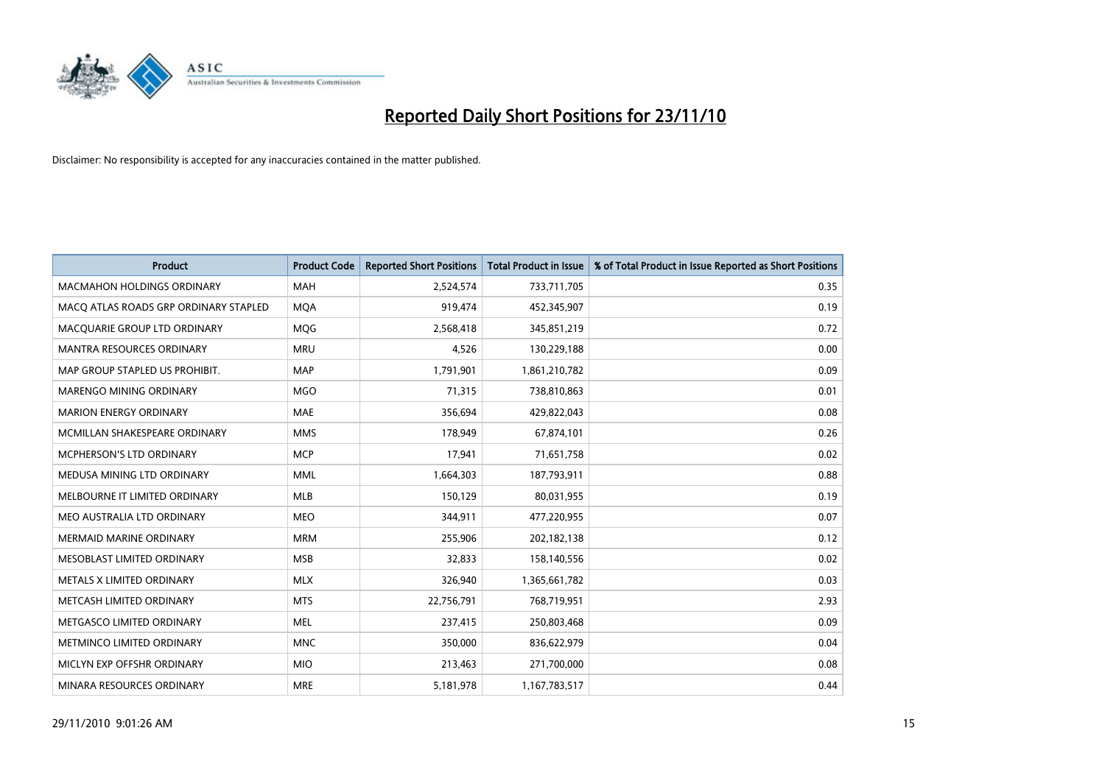

| Product                               | <b>Product Code</b> | <b>Reported Short Positions</b> | Total Product in Issue | % of Total Product in Issue Reported as Short Positions |
|---------------------------------------|---------------------|---------------------------------|------------------------|---------------------------------------------------------|
| <b>MACMAHON HOLDINGS ORDINARY</b>     | <b>MAH</b>          | 2,524,574                       | 733,711,705            | 0.35                                                    |
| MACQ ATLAS ROADS GRP ORDINARY STAPLED | <b>MOA</b>          | 919,474                         | 452,345,907            | 0.19                                                    |
| MACQUARIE GROUP LTD ORDINARY          | MQG                 | 2,568,418                       | 345,851,219            | 0.72                                                    |
| MANTRA RESOURCES ORDINARY             | <b>MRU</b>          | 4,526                           | 130,229,188            | 0.00                                                    |
| MAP GROUP STAPLED US PROHIBIT.        | <b>MAP</b>          | 1,791,901                       | 1,861,210,782          | 0.09                                                    |
| <b>MARENGO MINING ORDINARY</b>        | <b>MGO</b>          | 71,315                          | 738,810,863            | 0.01                                                    |
| <b>MARION ENERGY ORDINARY</b>         | <b>MAE</b>          | 356,694                         | 429,822,043            | 0.08                                                    |
| MCMILLAN SHAKESPEARE ORDINARY         | <b>MMS</b>          | 178,949                         | 67,874,101             | 0.26                                                    |
| MCPHERSON'S LTD ORDINARY              | <b>MCP</b>          | 17,941                          | 71,651,758             | 0.02                                                    |
| MEDUSA MINING LTD ORDINARY            | <b>MML</b>          | 1,664,303                       | 187,793,911            | 0.88                                                    |
| MELBOURNE IT LIMITED ORDINARY         | <b>MLB</b>          | 150,129                         | 80,031,955             | 0.19                                                    |
| MEO AUSTRALIA LTD ORDINARY            | <b>MEO</b>          | 344,911                         | 477,220,955            | 0.07                                                    |
| <b>MERMAID MARINE ORDINARY</b>        | <b>MRM</b>          | 255,906                         | 202,182,138            | 0.12                                                    |
| MESOBLAST LIMITED ORDINARY            | <b>MSB</b>          | 32,833                          | 158,140,556            | 0.02                                                    |
| METALS X LIMITED ORDINARY             | <b>MLX</b>          | 326,940                         | 1,365,661,782          | 0.03                                                    |
| METCASH LIMITED ORDINARY              | <b>MTS</b>          | 22,756,791                      | 768,719,951            | 2.93                                                    |
| METGASCO LIMITED ORDINARY             | <b>MEL</b>          | 237,415                         | 250,803,468            | 0.09                                                    |
| METMINCO LIMITED ORDINARY             | <b>MNC</b>          | 350,000                         | 836,622,979            | 0.04                                                    |
| MICLYN EXP OFFSHR ORDINARY            | <b>MIO</b>          | 213,463                         | 271,700,000            | 0.08                                                    |
| MINARA RESOURCES ORDINARY             | <b>MRE</b>          | 5,181,978                       | 1,167,783,517          | 0.44                                                    |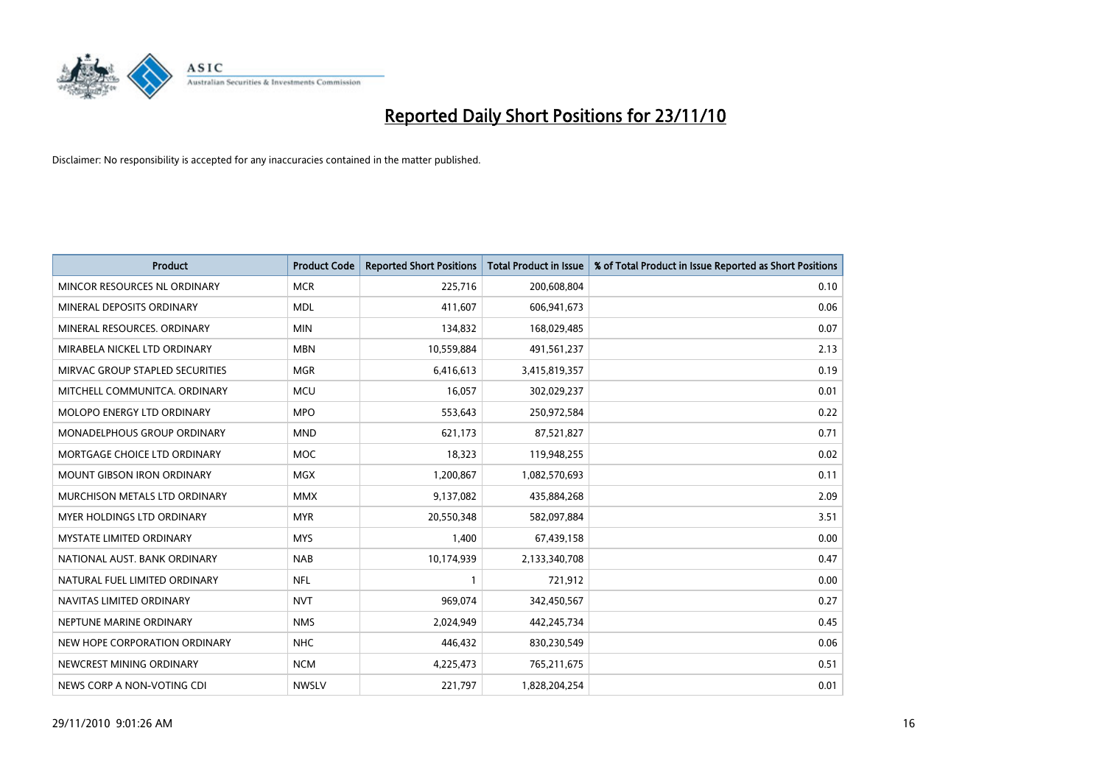

| Product                            | <b>Product Code</b> | <b>Reported Short Positions</b> | Total Product in Issue | % of Total Product in Issue Reported as Short Positions |
|------------------------------------|---------------------|---------------------------------|------------------------|---------------------------------------------------------|
| MINCOR RESOURCES NL ORDINARY       | <b>MCR</b>          | 225,716                         | 200,608,804            | 0.10                                                    |
| MINERAL DEPOSITS ORDINARY          | <b>MDL</b>          | 411,607                         | 606,941,673            | 0.06                                                    |
| MINERAL RESOURCES, ORDINARY        | <b>MIN</b>          | 134,832                         | 168,029,485            | 0.07                                                    |
| MIRABELA NICKEL LTD ORDINARY       | <b>MBN</b>          | 10,559,884                      | 491,561,237            | 2.13                                                    |
| MIRVAC GROUP STAPLED SECURITIES    | <b>MGR</b>          | 6,416,613                       | 3,415,819,357          | 0.19                                                    |
| MITCHELL COMMUNITCA, ORDINARY      | <b>MCU</b>          | 16,057                          | 302,029,237            | 0.01                                                    |
| <b>MOLOPO ENERGY LTD ORDINARY</b>  | <b>MPO</b>          | 553,643                         | 250,972,584            | 0.22                                                    |
| <b>MONADELPHOUS GROUP ORDINARY</b> | <b>MND</b>          | 621,173                         | 87,521,827             | 0.71                                                    |
| MORTGAGE CHOICE LTD ORDINARY       | <b>MOC</b>          | 18,323                          | 119,948,255            | 0.02                                                    |
| <b>MOUNT GIBSON IRON ORDINARY</b>  | <b>MGX</b>          | 1,200,867                       | 1,082,570,693          | 0.11                                                    |
| MURCHISON METALS LTD ORDINARY      | <b>MMX</b>          | 9,137,082                       | 435,884,268            | 2.09                                                    |
| <b>MYER HOLDINGS LTD ORDINARY</b>  | <b>MYR</b>          | 20,550,348                      | 582,097,884            | 3.51                                                    |
| <b>MYSTATE LIMITED ORDINARY</b>    | <b>MYS</b>          | 1,400                           | 67,439,158             | 0.00                                                    |
| NATIONAL AUST, BANK ORDINARY       | <b>NAB</b>          | 10,174,939                      | 2,133,340,708          | 0.47                                                    |
| NATURAL FUEL LIMITED ORDINARY      | <b>NFL</b>          |                                 | 721,912                | 0.00                                                    |
| NAVITAS LIMITED ORDINARY           | <b>NVT</b>          | 969,074                         | 342,450,567            | 0.27                                                    |
| NEPTUNE MARINE ORDINARY            | <b>NMS</b>          | 2,024,949                       | 442,245,734            | 0.45                                                    |
| NEW HOPE CORPORATION ORDINARY      | <b>NHC</b>          | 446,432                         | 830,230,549            | 0.06                                                    |
| NEWCREST MINING ORDINARY           | <b>NCM</b>          | 4,225,473                       | 765,211,675            | 0.51                                                    |
| NEWS CORP A NON-VOTING CDI         | <b>NWSLV</b>        | 221,797                         | 1,828,204,254          | 0.01                                                    |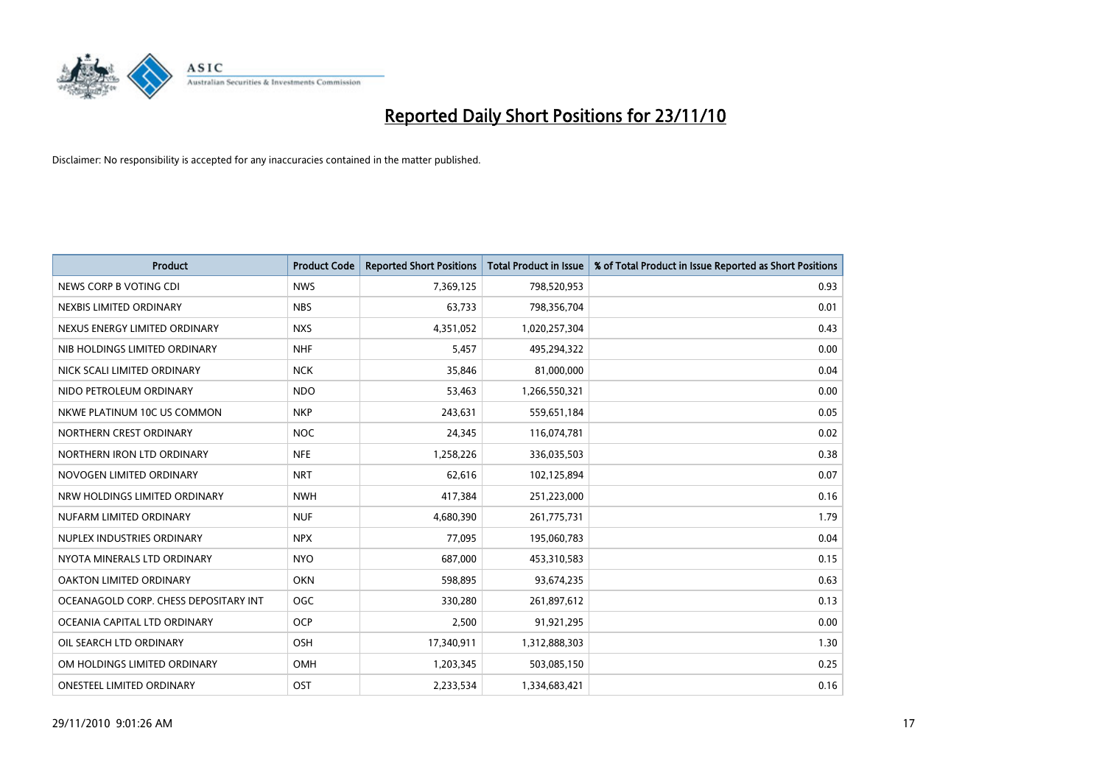

| <b>Product</b>                        | <b>Product Code</b> | <b>Reported Short Positions</b> | <b>Total Product in Issue</b> | % of Total Product in Issue Reported as Short Positions |
|---------------------------------------|---------------------|---------------------------------|-------------------------------|---------------------------------------------------------|
| NEWS CORP B VOTING CDI                | <b>NWS</b>          | 7,369,125                       | 798,520,953                   | 0.93                                                    |
| NEXBIS LIMITED ORDINARY               | <b>NBS</b>          | 63,733                          | 798,356,704                   | 0.01                                                    |
| NEXUS ENERGY LIMITED ORDINARY         | <b>NXS</b>          | 4,351,052                       | 1,020,257,304                 | 0.43                                                    |
| NIB HOLDINGS LIMITED ORDINARY         | <b>NHF</b>          | 5,457                           | 495,294,322                   | 0.00                                                    |
| NICK SCALI LIMITED ORDINARY           | <b>NCK</b>          | 35,846                          | 81,000,000                    | 0.04                                                    |
| NIDO PETROLEUM ORDINARY               | <b>NDO</b>          | 53,463                          | 1,266,550,321                 | 0.00                                                    |
| NKWE PLATINUM 10C US COMMON           | <b>NKP</b>          | 243,631                         | 559,651,184                   | 0.05                                                    |
| NORTHERN CREST ORDINARY               | <b>NOC</b>          | 24,345                          | 116,074,781                   | 0.02                                                    |
| NORTHERN IRON LTD ORDINARY            | <b>NFE</b>          | 1,258,226                       | 336,035,503                   | 0.38                                                    |
| NOVOGEN LIMITED ORDINARY              | <b>NRT</b>          | 62,616                          | 102,125,894                   | 0.07                                                    |
| NRW HOLDINGS LIMITED ORDINARY         | <b>NWH</b>          | 417,384                         | 251,223,000                   | 0.16                                                    |
| NUFARM LIMITED ORDINARY               | <b>NUF</b>          | 4,680,390                       | 261,775,731                   | 1.79                                                    |
| NUPLEX INDUSTRIES ORDINARY            | <b>NPX</b>          | 77,095                          | 195,060,783                   | 0.04                                                    |
| NYOTA MINERALS LTD ORDINARY           | <b>NYO</b>          | 687,000                         | 453,310,583                   | 0.15                                                    |
| <b>OAKTON LIMITED ORDINARY</b>        | <b>OKN</b>          | 598,895                         | 93,674,235                    | 0.63                                                    |
| OCEANAGOLD CORP. CHESS DEPOSITARY INT | <b>OGC</b>          | 330,280                         | 261,897,612                   | 0.13                                                    |
| OCEANIA CAPITAL LTD ORDINARY          | <b>OCP</b>          | 2,500                           | 91,921,295                    | 0.00                                                    |
| OIL SEARCH LTD ORDINARY               | <b>OSH</b>          | 17,340,911                      | 1,312,888,303                 | 1.30                                                    |
| OM HOLDINGS LIMITED ORDINARY          | <b>OMH</b>          | 1,203,345                       | 503,085,150                   | 0.25                                                    |
| <b>ONESTEEL LIMITED ORDINARY</b>      | <b>OST</b>          | 2,233,534                       | 1,334,683,421                 | 0.16                                                    |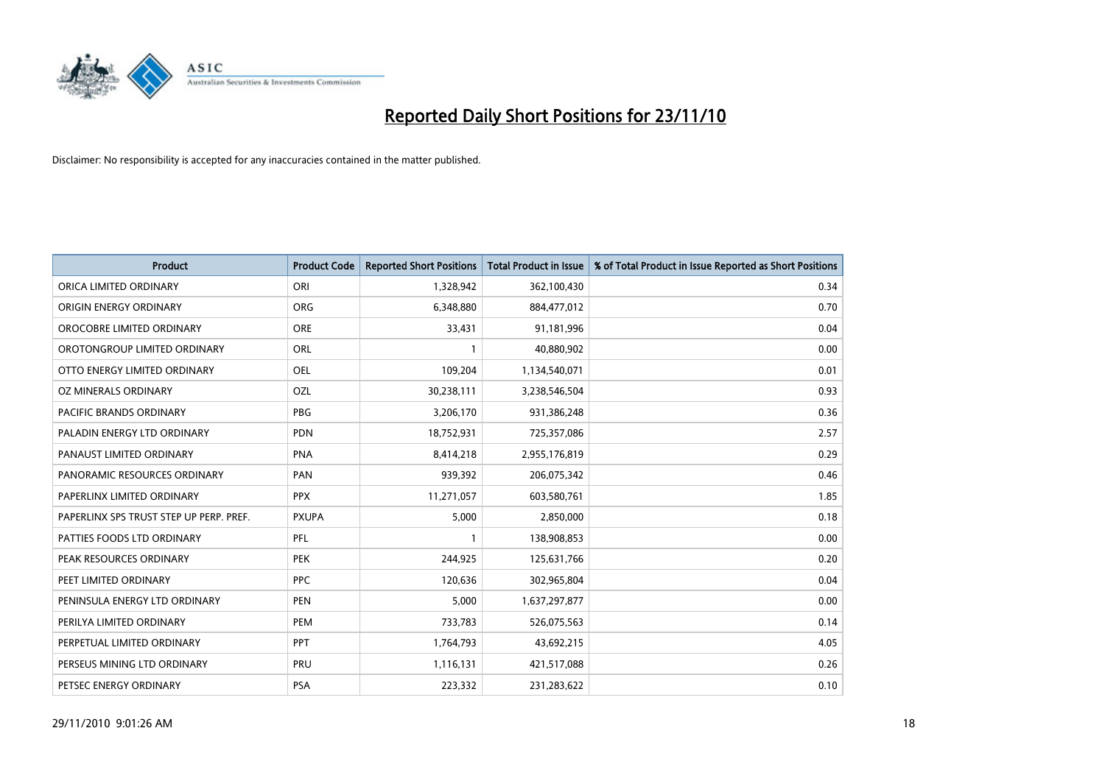

| Product                                 | <b>Product Code</b> | <b>Reported Short Positions</b> | <b>Total Product in Issue</b> | % of Total Product in Issue Reported as Short Positions |
|-----------------------------------------|---------------------|---------------------------------|-------------------------------|---------------------------------------------------------|
| ORICA LIMITED ORDINARY                  | ORI                 | 1,328,942                       | 362,100,430                   | 0.34                                                    |
| ORIGIN ENERGY ORDINARY                  | <b>ORG</b>          | 6,348,880                       | 884,477,012                   | 0.70                                                    |
| OROCOBRE LIMITED ORDINARY               | <b>ORE</b>          | 33,431                          | 91,181,996                    | 0.04                                                    |
| OROTONGROUP LIMITED ORDINARY            | <b>ORL</b>          |                                 | 40,880,902                    | 0.00                                                    |
| OTTO ENERGY LIMITED ORDINARY            | <b>OEL</b>          | 109,204                         | 1,134,540,071                 | 0.01                                                    |
| OZ MINERALS ORDINARY                    | OZL                 | 30,238,111                      | 3,238,546,504                 | 0.93                                                    |
| PACIFIC BRANDS ORDINARY                 | <b>PBG</b>          | 3,206,170                       | 931,386,248                   | 0.36                                                    |
| PALADIN ENERGY LTD ORDINARY             | <b>PDN</b>          | 18,752,931                      | 725,357,086                   | 2.57                                                    |
| PANAUST LIMITED ORDINARY                | <b>PNA</b>          | 8,414,218                       | 2,955,176,819                 | 0.29                                                    |
| PANORAMIC RESOURCES ORDINARY            | PAN                 | 939,392                         | 206,075,342                   | 0.46                                                    |
| PAPERLINX LIMITED ORDINARY              | <b>PPX</b>          | 11,271,057                      | 603,580,761                   | 1.85                                                    |
| PAPERLINX SPS TRUST STEP UP PERP. PREF. | <b>PXUPA</b>        | 5,000                           | 2,850,000                     | 0.18                                                    |
| PATTIES FOODS LTD ORDINARY              | PFL                 |                                 | 138,908,853                   | 0.00                                                    |
| PEAK RESOURCES ORDINARY                 | PEK                 | 244,925                         | 125,631,766                   | 0.20                                                    |
| PEET LIMITED ORDINARY                   | <b>PPC</b>          | 120,636                         | 302,965,804                   | 0.04                                                    |
| PENINSULA ENERGY LTD ORDINARY           | <b>PEN</b>          | 5,000                           | 1,637,297,877                 | 0.00                                                    |
| PERILYA LIMITED ORDINARY                | PEM                 | 733,783                         | 526,075,563                   | 0.14                                                    |
| PERPETUAL LIMITED ORDINARY              | PPT                 | 1,764,793                       | 43,692,215                    | 4.05                                                    |
| PERSEUS MINING LTD ORDINARY             | PRU                 | 1,116,131                       | 421,517,088                   | 0.26                                                    |
| PETSEC ENERGY ORDINARY                  | <b>PSA</b>          | 223,332                         | 231,283,622                   | 0.10                                                    |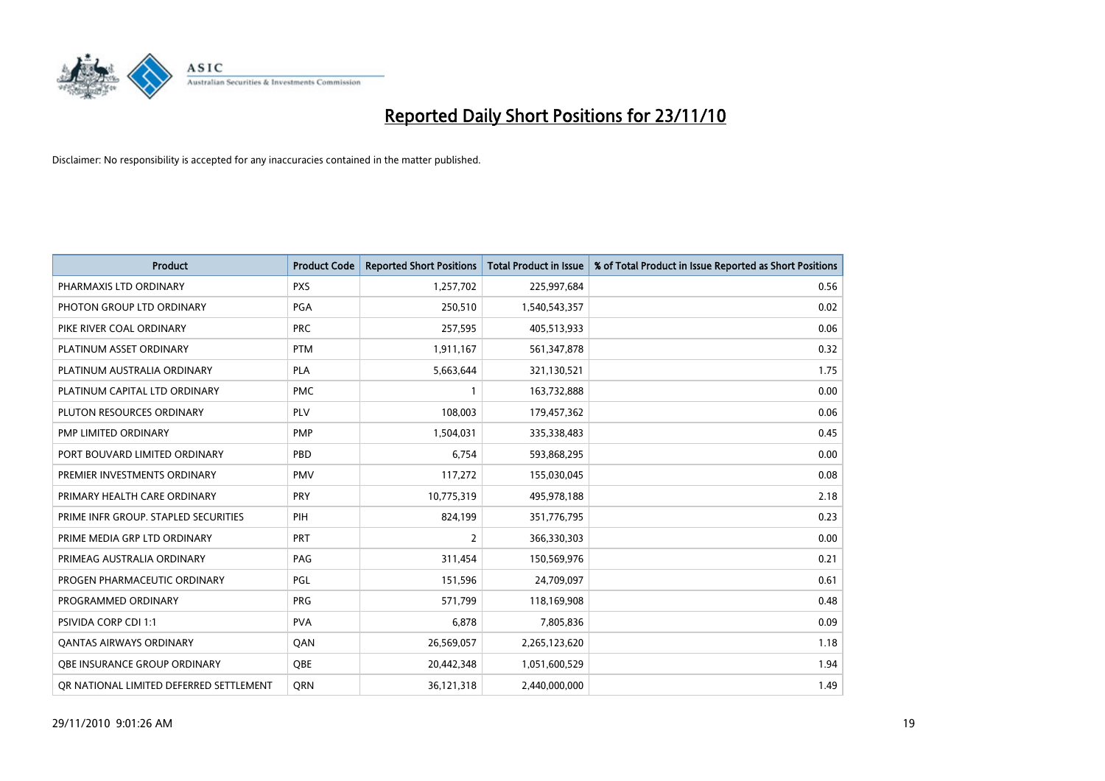

| Product                                 | <b>Product Code</b> | <b>Reported Short Positions</b> | <b>Total Product in Issue</b> | % of Total Product in Issue Reported as Short Positions |
|-----------------------------------------|---------------------|---------------------------------|-------------------------------|---------------------------------------------------------|
| PHARMAXIS LTD ORDINARY                  | <b>PXS</b>          | 1,257,702                       | 225,997,684                   | 0.56                                                    |
| PHOTON GROUP LTD ORDINARY               | PGA                 | 250,510                         | 1,540,543,357                 | 0.02                                                    |
| PIKE RIVER COAL ORDINARY                | <b>PRC</b>          | 257,595                         | 405,513,933                   | 0.06                                                    |
| PLATINUM ASSET ORDINARY                 | <b>PTM</b>          | 1,911,167                       | 561,347,878                   | 0.32                                                    |
| PLATINUM AUSTRALIA ORDINARY             | PLA                 | 5,663,644                       | 321,130,521                   | 1.75                                                    |
| PLATINUM CAPITAL LTD ORDINARY           | <b>PMC</b>          |                                 | 163,732,888                   | 0.00                                                    |
| PLUTON RESOURCES ORDINARY               | PLV                 | 108.003                         | 179,457,362                   | 0.06                                                    |
| PMP LIMITED ORDINARY                    | <b>PMP</b>          | 1,504,031                       | 335,338,483                   | 0.45                                                    |
| PORT BOUVARD LIMITED ORDINARY           | PBD                 | 6,754                           | 593,868,295                   | 0.00                                                    |
| PREMIER INVESTMENTS ORDINARY            | <b>PMV</b>          | 117,272                         | 155,030,045                   | 0.08                                                    |
| PRIMARY HEALTH CARE ORDINARY            | <b>PRY</b>          | 10,775,319                      | 495,978,188                   | 2.18                                                    |
| PRIME INFR GROUP. STAPLED SECURITIES    | PIH                 | 824,199                         | 351,776,795                   | 0.23                                                    |
| PRIME MEDIA GRP LTD ORDINARY            | PRT                 | $\overline{2}$                  | 366,330,303                   | 0.00                                                    |
| PRIMEAG AUSTRALIA ORDINARY              | PAG                 | 311,454                         | 150,569,976                   | 0.21                                                    |
| PROGEN PHARMACEUTIC ORDINARY            | PGL                 | 151,596                         | 24,709,097                    | 0.61                                                    |
| PROGRAMMED ORDINARY                     | <b>PRG</b>          | 571,799                         | 118,169,908                   | 0.48                                                    |
| <b>PSIVIDA CORP CDI 1:1</b>             | <b>PVA</b>          | 6,878                           | 7,805,836                     | 0.09                                                    |
| <b>QANTAS AIRWAYS ORDINARY</b>          | <b>QAN</b>          | 26,569,057                      | 2,265,123,620                 | 1.18                                                    |
| OBE INSURANCE GROUP ORDINARY            | OBE                 | 20,442,348                      | 1,051,600,529                 | 1.94                                                    |
| OR NATIONAL LIMITED DEFERRED SETTLEMENT | <b>ORN</b>          | 36,121,318                      | 2,440,000,000                 | 1.49                                                    |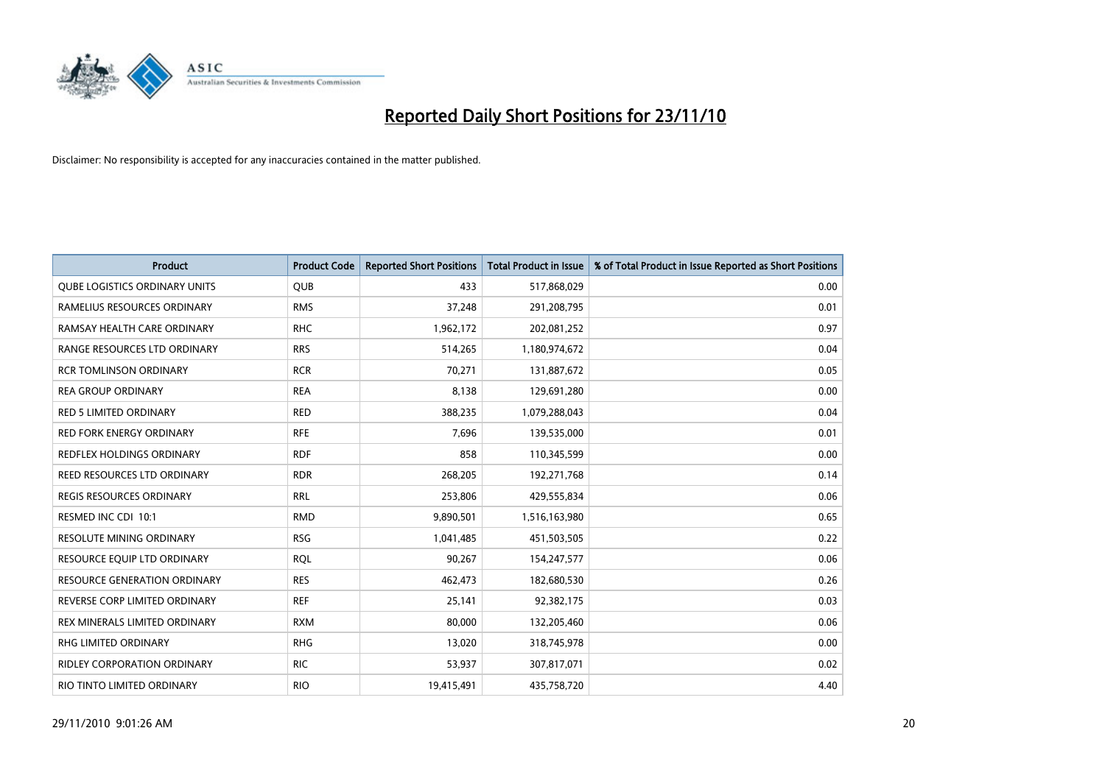

| Product                              | <b>Product Code</b> | <b>Reported Short Positions</b> | Total Product in Issue | % of Total Product in Issue Reported as Short Positions |
|--------------------------------------|---------------------|---------------------------------|------------------------|---------------------------------------------------------|
| <b>QUBE LOGISTICS ORDINARY UNITS</b> | <b>QUB</b>          | 433                             | 517,868,029            | 0.00                                                    |
| RAMELIUS RESOURCES ORDINARY          | <b>RMS</b>          | 37,248                          | 291,208,795            | 0.01                                                    |
| RAMSAY HEALTH CARE ORDINARY          | <b>RHC</b>          | 1,962,172                       | 202,081,252            | 0.97                                                    |
| RANGE RESOURCES LTD ORDINARY         | <b>RRS</b>          | 514,265                         | 1,180,974,672          | 0.04                                                    |
| <b>RCR TOMLINSON ORDINARY</b>        | <b>RCR</b>          | 70.271                          | 131,887,672            | 0.05                                                    |
| <b>REA GROUP ORDINARY</b>            | <b>REA</b>          | 8,138                           | 129,691,280            | 0.00                                                    |
| <b>RED 5 LIMITED ORDINARY</b>        | <b>RED</b>          | 388,235                         | 1,079,288,043          | 0.04                                                    |
| <b>RED FORK ENERGY ORDINARY</b>      | <b>RFE</b>          | 7,696                           | 139,535,000            | 0.01                                                    |
| REDFLEX HOLDINGS ORDINARY            | <b>RDF</b>          | 858                             | 110,345,599            | 0.00                                                    |
| REED RESOURCES LTD ORDINARY          | <b>RDR</b>          | 268,205                         | 192,271,768            | 0.14                                                    |
| <b>REGIS RESOURCES ORDINARY</b>      | <b>RRL</b>          | 253,806                         | 429,555,834            | 0.06                                                    |
| RESMED INC CDI 10:1                  | <b>RMD</b>          | 9,890,501                       | 1,516,163,980          | 0.65                                                    |
| <b>RESOLUTE MINING ORDINARY</b>      | <b>RSG</b>          | 1,041,485                       | 451,503,505            | 0.22                                                    |
| RESOURCE EQUIP LTD ORDINARY          | <b>ROL</b>          | 90,267                          | 154,247,577            | 0.06                                                    |
| <b>RESOURCE GENERATION ORDINARY</b>  | <b>RES</b>          | 462,473                         | 182,680,530            | 0.26                                                    |
| REVERSE CORP LIMITED ORDINARY        | <b>REF</b>          | 25,141                          | 92,382,175             | 0.03                                                    |
| <b>REX MINERALS LIMITED ORDINARY</b> | <b>RXM</b>          | 80,000                          | 132,205,460            | 0.06                                                    |
| RHG LIMITED ORDINARY                 | <b>RHG</b>          | 13,020                          | 318,745,978            | 0.00                                                    |
| <b>RIDLEY CORPORATION ORDINARY</b>   | <b>RIC</b>          | 53,937                          | 307,817,071            | 0.02                                                    |
| RIO TINTO LIMITED ORDINARY           | <b>RIO</b>          | 19,415,491                      | 435,758,720            | 4.40                                                    |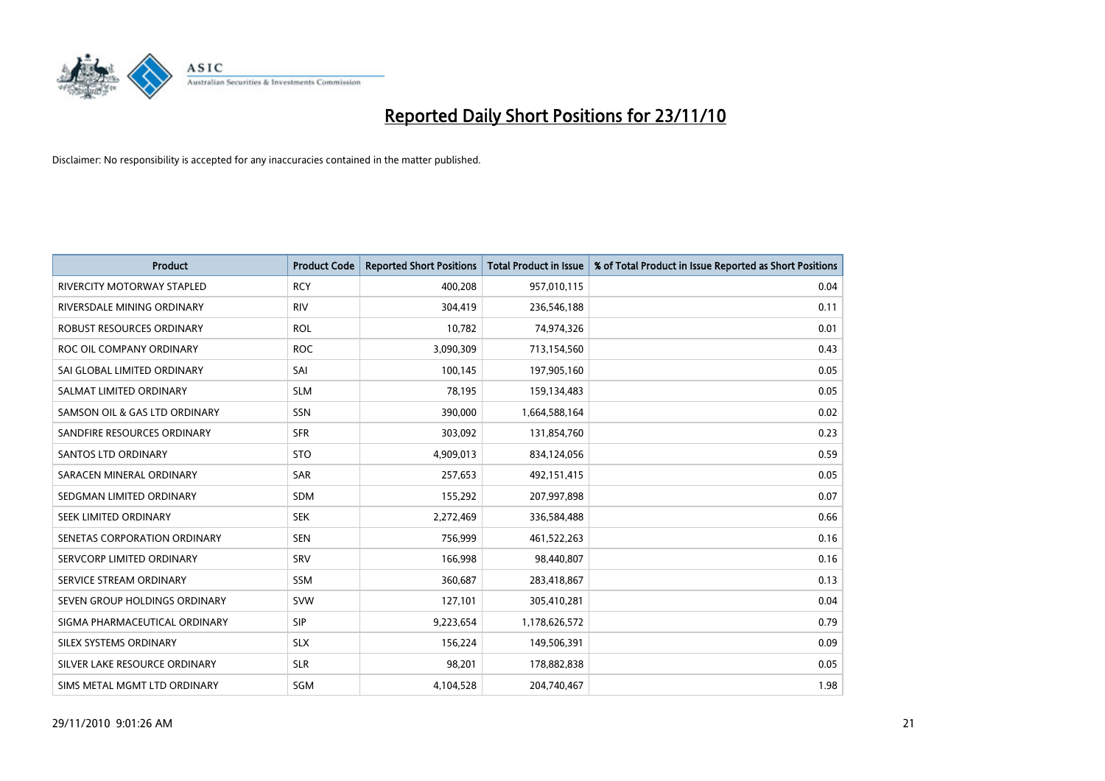

| Product                           | <b>Product Code</b> | <b>Reported Short Positions</b> | Total Product in Issue | % of Total Product in Issue Reported as Short Positions |
|-----------------------------------|---------------------|---------------------------------|------------------------|---------------------------------------------------------|
| <b>RIVERCITY MOTORWAY STAPLED</b> | <b>RCY</b>          | 400,208                         | 957,010,115            | 0.04                                                    |
| RIVERSDALE MINING ORDINARY        | <b>RIV</b>          | 304,419                         | 236,546,188            | 0.11                                                    |
| ROBUST RESOURCES ORDINARY         | <b>ROL</b>          | 10,782                          | 74,974,326             | 0.01                                                    |
| ROC OIL COMPANY ORDINARY          | <b>ROC</b>          | 3,090,309                       | 713,154,560            | 0.43                                                    |
| SAI GLOBAL LIMITED ORDINARY       | SAI                 | 100,145                         | 197,905,160            | 0.05                                                    |
| SALMAT LIMITED ORDINARY           | <b>SLM</b>          | 78,195                          | 159,134,483            | 0.05                                                    |
| SAMSON OIL & GAS LTD ORDINARY     | SSN                 | 390,000                         | 1,664,588,164          | 0.02                                                    |
| SANDFIRE RESOURCES ORDINARY       | <b>SFR</b>          | 303,092                         | 131,854,760            | 0.23                                                    |
| <b>SANTOS LTD ORDINARY</b>        | <b>STO</b>          | 4,909,013                       | 834,124,056            | 0.59                                                    |
| SARACEN MINERAL ORDINARY          | <b>SAR</b>          | 257,653                         | 492,151,415            | 0.05                                                    |
| SEDGMAN LIMITED ORDINARY          | <b>SDM</b>          | 155,292                         | 207,997,898            | 0.07                                                    |
| <b>SEEK LIMITED ORDINARY</b>      | <b>SEK</b>          | 2,272,469                       | 336,584,488            | 0.66                                                    |
| SENETAS CORPORATION ORDINARY      | <b>SEN</b>          | 756,999                         | 461,522,263            | 0.16                                                    |
| SERVCORP LIMITED ORDINARY         | SRV                 | 166,998                         | 98,440,807             | 0.16                                                    |
| SERVICE STREAM ORDINARY           | <b>SSM</b>          | 360,687                         | 283,418,867            | 0.13                                                    |
| SEVEN GROUP HOLDINGS ORDINARY     | <b>SVW</b>          | 127,101                         | 305,410,281            | 0.04                                                    |
| SIGMA PHARMACEUTICAL ORDINARY     | <b>SIP</b>          | 9,223,654                       | 1,178,626,572          | 0.79                                                    |
| SILEX SYSTEMS ORDINARY            | <b>SLX</b>          | 156,224                         | 149,506,391            | 0.09                                                    |
| SILVER LAKE RESOURCE ORDINARY     | <b>SLR</b>          | 98,201                          | 178,882,838            | 0.05                                                    |
| SIMS METAL MGMT LTD ORDINARY      | SGM                 | 4,104,528                       | 204,740,467            | 1.98                                                    |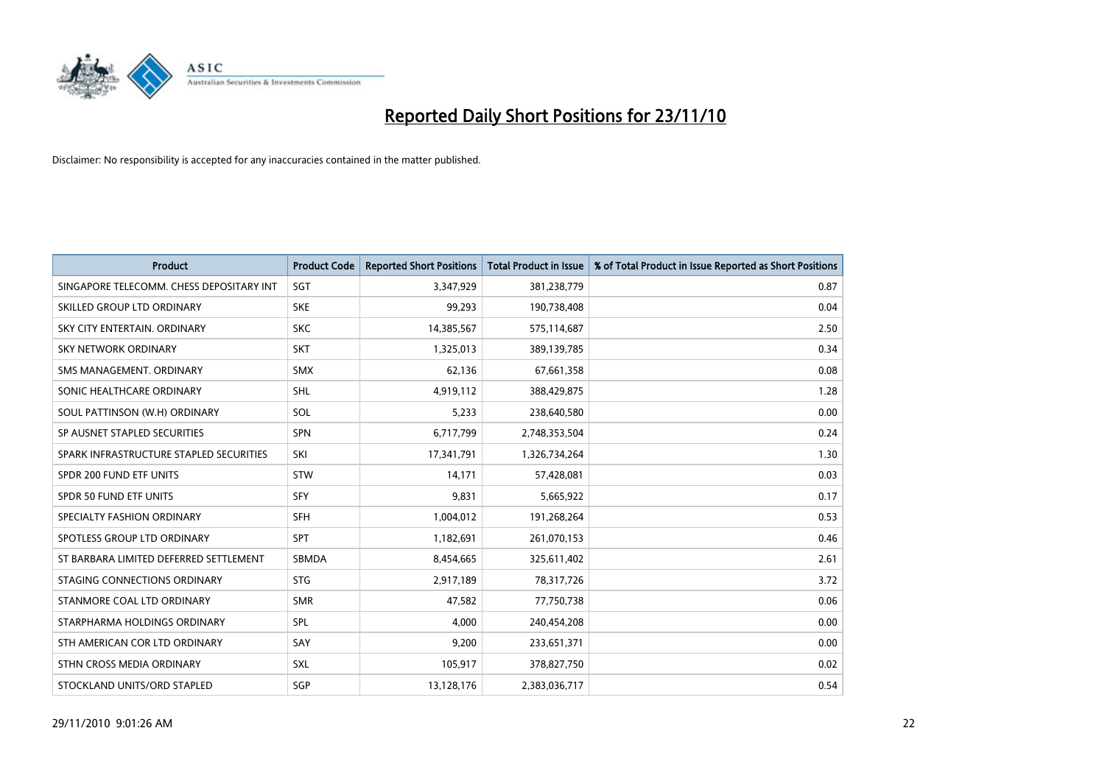

| Product                                  | <b>Product Code</b> | <b>Reported Short Positions</b> | <b>Total Product in Issue</b> | % of Total Product in Issue Reported as Short Positions |
|------------------------------------------|---------------------|---------------------------------|-------------------------------|---------------------------------------------------------|
| SINGAPORE TELECOMM. CHESS DEPOSITARY INT | SGT                 | 3,347,929                       | 381,238,779                   | 0.87                                                    |
| SKILLED GROUP LTD ORDINARY               | <b>SKE</b>          | 99,293                          | 190,738,408                   | 0.04                                                    |
| SKY CITY ENTERTAIN, ORDINARY             | <b>SKC</b>          | 14,385,567                      | 575,114,687                   | 2.50                                                    |
| SKY NETWORK ORDINARY                     | <b>SKT</b>          | 1,325,013                       | 389,139,785                   | 0.34                                                    |
| SMS MANAGEMENT, ORDINARY                 | <b>SMX</b>          | 62,136                          | 67,661,358                    | 0.08                                                    |
| SONIC HEALTHCARE ORDINARY                | <b>SHL</b>          | 4,919,112                       | 388,429,875                   | 1.28                                                    |
| SOUL PATTINSON (W.H) ORDINARY            | SOL                 | 5,233                           | 238,640,580                   | 0.00                                                    |
| SP AUSNET STAPLED SECURITIES             | <b>SPN</b>          | 6,717,799                       | 2,748,353,504                 | 0.24                                                    |
| SPARK INFRASTRUCTURE STAPLED SECURITIES  | SKI                 | 17,341,791                      | 1,326,734,264                 | 1.30                                                    |
| SPDR 200 FUND ETF UNITS                  | <b>STW</b>          | 14,171                          | 57,428,081                    | 0.03                                                    |
| SPDR 50 FUND ETF UNITS                   | <b>SFY</b>          | 9,831                           | 5,665,922                     | 0.17                                                    |
| SPECIALTY FASHION ORDINARY               | <b>SFH</b>          | 1,004,012                       | 191,268,264                   | 0.53                                                    |
| SPOTLESS GROUP LTD ORDINARY              | <b>SPT</b>          | 1,182,691                       | 261,070,153                   | 0.46                                                    |
| ST BARBARA LIMITED DEFERRED SETTLEMENT   | <b>SBMDA</b>        | 8,454,665                       | 325,611,402                   | 2.61                                                    |
| STAGING CONNECTIONS ORDINARY             | <b>STG</b>          | 2,917,189                       | 78,317,726                    | 3.72                                                    |
| STANMORE COAL LTD ORDINARY               | <b>SMR</b>          | 47,582                          | 77,750,738                    | 0.06                                                    |
| STARPHARMA HOLDINGS ORDINARY             | SPL                 | 4,000                           | 240,454,208                   | 0.00                                                    |
| STH AMERICAN COR LTD ORDINARY            | SAY                 | 9,200                           | 233,651,371                   | 0.00                                                    |
| STHN CROSS MEDIA ORDINARY                | <b>SXL</b>          | 105,917                         | 378,827,750                   | 0.02                                                    |
| STOCKLAND UNITS/ORD STAPLED              | SGP                 | 13,128,176                      | 2,383,036,717                 | 0.54                                                    |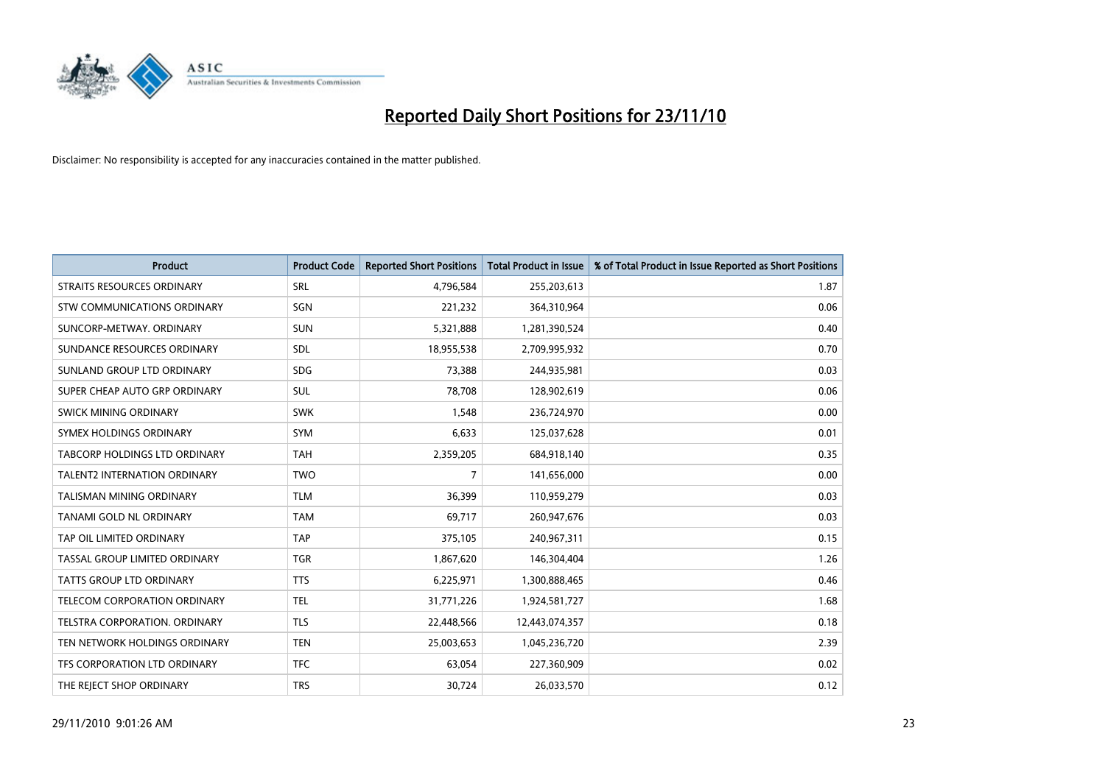

| <b>Product</b>                      | <b>Product Code</b> | <b>Reported Short Positions</b> | Total Product in Issue | % of Total Product in Issue Reported as Short Positions |
|-------------------------------------|---------------------|---------------------------------|------------------------|---------------------------------------------------------|
| <b>STRAITS RESOURCES ORDINARY</b>   | SRL                 | 4,796,584                       | 255,203,613            | 1.87                                                    |
| STW COMMUNICATIONS ORDINARY         | SGN                 | 221,232                         | 364,310,964            | 0.06                                                    |
| SUNCORP-METWAY, ORDINARY            | <b>SUN</b>          | 5,321,888                       | 1,281,390,524          | 0.40                                                    |
| SUNDANCE RESOURCES ORDINARY         | <b>SDL</b>          | 18,955,538                      | 2,709,995,932          | 0.70                                                    |
| SUNLAND GROUP LTD ORDINARY          | <b>SDG</b>          | 73,388                          | 244,935,981            | 0.03                                                    |
| SUPER CHEAP AUTO GRP ORDINARY       | <b>SUL</b>          | 78,708                          | 128,902,619            | 0.06                                                    |
| <b>SWICK MINING ORDINARY</b>        | <b>SWK</b>          | 1,548                           | 236,724,970            | 0.00                                                    |
| SYMEX HOLDINGS ORDINARY             | <b>SYM</b>          | 6,633                           | 125,037,628            | 0.01                                                    |
| TABCORP HOLDINGS LTD ORDINARY       | <b>TAH</b>          | 2,359,205                       | 684,918,140            | 0.35                                                    |
| <b>TALENT2 INTERNATION ORDINARY</b> | <b>TWO</b>          | $\overline{7}$                  | 141,656,000            | 0.00                                                    |
| <b>TALISMAN MINING ORDINARY</b>     | <b>TLM</b>          | 36,399                          | 110,959,279            | 0.03                                                    |
| TANAMI GOLD NL ORDINARY             | <b>TAM</b>          | 69,717                          | 260,947,676            | 0.03                                                    |
| TAP OIL LIMITED ORDINARY            | <b>TAP</b>          | 375,105                         | 240,967,311            | 0.15                                                    |
| TASSAL GROUP LIMITED ORDINARY       | <b>TGR</b>          | 1,867,620                       | 146,304,404            | 1.26                                                    |
| TATTS GROUP LTD ORDINARY            | <b>TTS</b>          | 6,225,971                       | 1,300,888,465          | 0.46                                                    |
| TELECOM CORPORATION ORDINARY        | <b>TEL</b>          | 31,771,226                      | 1,924,581,727          | 1.68                                                    |
| TELSTRA CORPORATION, ORDINARY       | <b>TLS</b>          | 22,448,566                      | 12,443,074,357         | 0.18                                                    |
| TEN NETWORK HOLDINGS ORDINARY       | <b>TEN</b>          | 25,003,653                      | 1,045,236,720          | 2.39                                                    |
| TFS CORPORATION LTD ORDINARY        | <b>TFC</b>          | 63,054                          | 227,360,909            | 0.02                                                    |
| THE REJECT SHOP ORDINARY            | <b>TRS</b>          | 30,724                          | 26,033,570             | 0.12                                                    |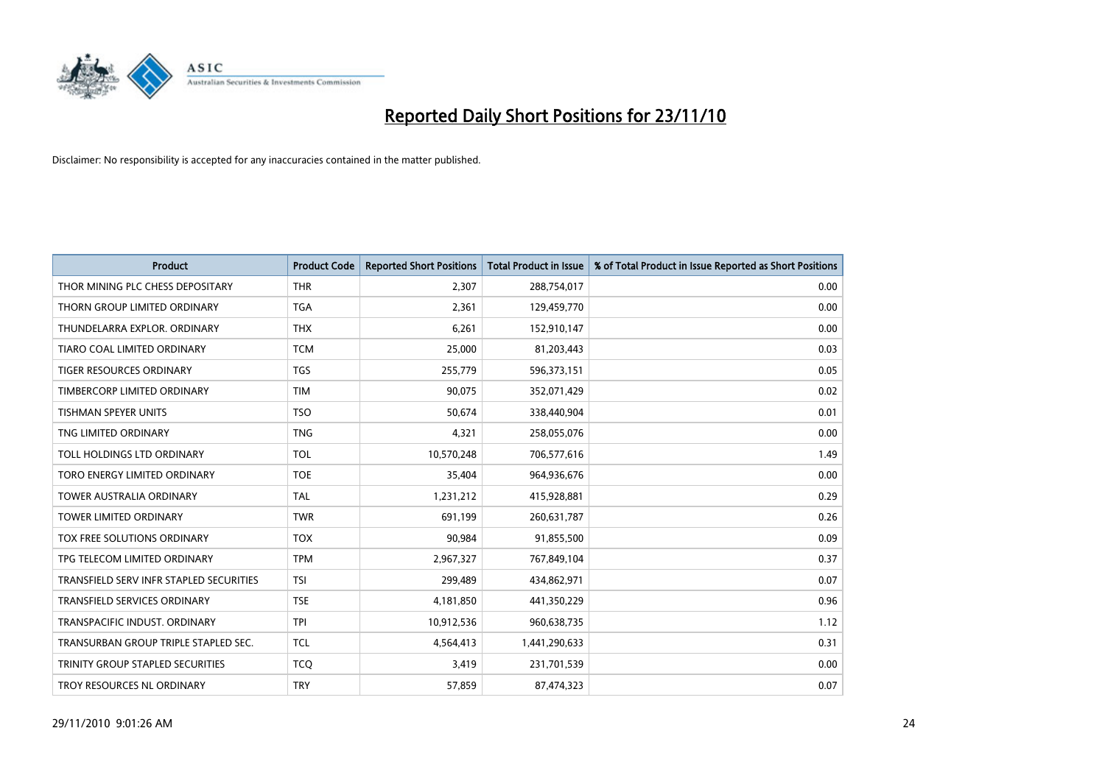

| <b>Product</b>                          | <b>Product Code</b> | <b>Reported Short Positions</b> | <b>Total Product in Issue</b> | % of Total Product in Issue Reported as Short Positions |
|-----------------------------------------|---------------------|---------------------------------|-------------------------------|---------------------------------------------------------|
| THOR MINING PLC CHESS DEPOSITARY        | <b>THR</b>          | 2,307                           | 288,754,017                   | 0.00                                                    |
| THORN GROUP LIMITED ORDINARY            | <b>TGA</b>          | 2,361                           | 129,459,770                   | 0.00                                                    |
| THUNDELARRA EXPLOR, ORDINARY            | <b>THX</b>          | 6,261                           | 152,910,147                   | 0.00                                                    |
| TIARO COAL LIMITED ORDINARY             | <b>TCM</b>          | 25,000                          | 81,203,443                    | 0.03                                                    |
| <b>TIGER RESOURCES ORDINARY</b>         | <b>TGS</b>          | 255,779                         | 596,373,151                   | 0.05                                                    |
| TIMBERCORP LIMITED ORDINARY             | <b>TIM</b>          | 90,075                          | 352,071,429                   | 0.02                                                    |
| <b>TISHMAN SPEYER UNITS</b>             | <b>TSO</b>          | 50,674                          | 338,440,904                   | 0.01                                                    |
| TNG LIMITED ORDINARY                    | <b>TNG</b>          | 4,321                           | 258,055,076                   | 0.00                                                    |
| TOLL HOLDINGS LTD ORDINARY              | <b>TOL</b>          | 10,570,248                      | 706,577,616                   | 1.49                                                    |
| TORO ENERGY LIMITED ORDINARY            | <b>TOE</b>          | 35,404                          | 964,936,676                   | 0.00                                                    |
| <b>TOWER AUSTRALIA ORDINARY</b>         | <b>TAL</b>          | 1,231,212                       | 415,928,881                   | 0.29                                                    |
| <b>TOWER LIMITED ORDINARY</b>           | <b>TWR</b>          | 691,199                         | 260,631,787                   | 0.26                                                    |
| <b>TOX FREE SOLUTIONS ORDINARY</b>      | <b>TOX</b>          | 90,984                          | 91,855,500                    | 0.09                                                    |
| TPG TELECOM LIMITED ORDINARY            | <b>TPM</b>          | 2,967,327                       | 767,849,104                   | 0.37                                                    |
| TRANSFIELD SERV INFR STAPLED SECURITIES | <b>TSI</b>          | 299,489                         | 434,862,971                   | 0.07                                                    |
| TRANSFIELD SERVICES ORDINARY            | <b>TSE</b>          | 4,181,850                       | 441,350,229                   | 0.96                                                    |
| TRANSPACIFIC INDUST. ORDINARY           | <b>TPI</b>          | 10,912,536                      | 960,638,735                   | 1.12                                                    |
| TRANSURBAN GROUP TRIPLE STAPLED SEC.    | <b>TCL</b>          | 4,564,413                       | 1,441,290,633                 | 0.31                                                    |
| TRINITY GROUP STAPLED SECURITIES        | <b>TCQ</b>          | 3,419                           | 231,701,539                   | 0.00                                                    |
| TROY RESOURCES NL ORDINARY              | <b>TRY</b>          | 57,859                          | 87,474,323                    | 0.07                                                    |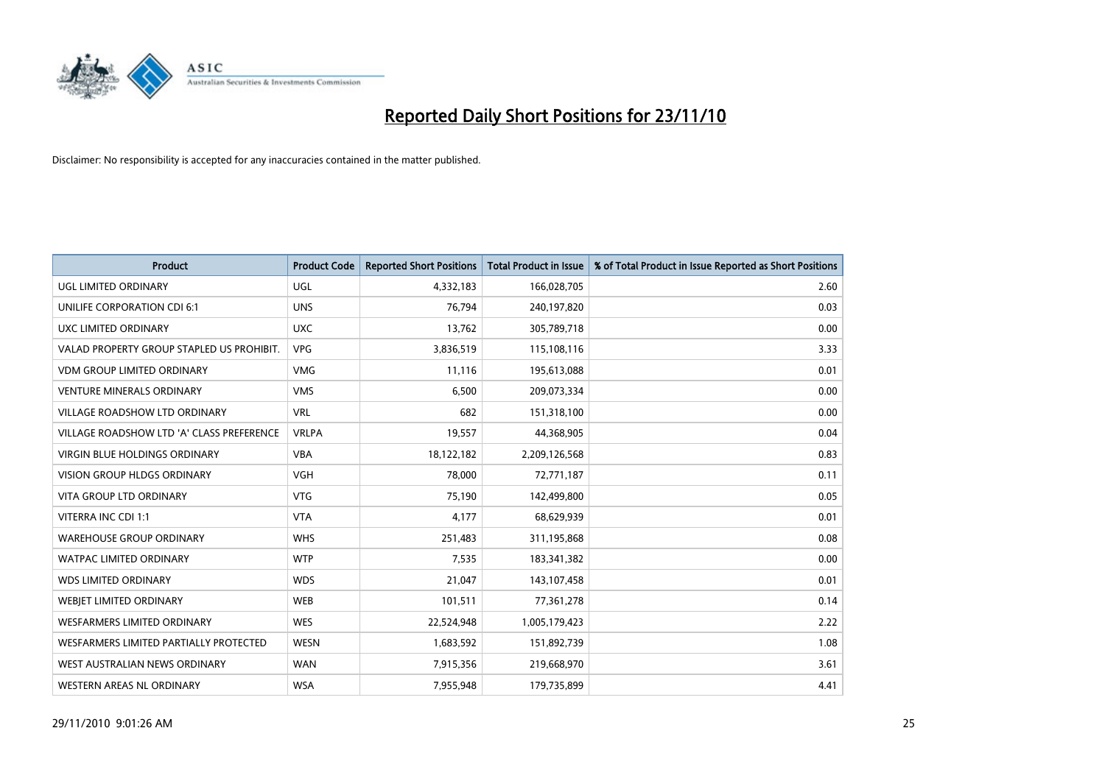

| Product                                   | <b>Product Code</b> | <b>Reported Short Positions</b> | <b>Total Product in Issue</b> | % of Total Product in Issue Reported as Short Positions |
|-------------------------------------------|---------------------|---------------------------------|-------------------------------|---------------------------------------------------------|
| UGL LIMITED ORDINARY                      | UGL                 | 4,332,183                       | 166,028,705                   | 2.60                                                    |
| UNILIFE CORPORATION CDI 6:1               | <b>UNS</b>          | 76,794                          | 240,197,820                   | 0.03                                                    |
| UXC LIMITED ORDINARY                      | <b>UXC</b>          | 13,762                          | 305,789,718                   | 0.00                                                    |
| VALAD PROPERTY GROUP STAPLED US PROHIBIT. | <b>VPG</b>          | 3,836,519                       | 115,108,116                   | 3.33                                                    |
| <b>VDM GROUP LIMITED ORDINARY</b>         | <b>VMG</b>          | 11,116                          | 195,613,088                   | 0.01                                                    |
| <b>VENTURE MINERALS ORDINARY</b>          | <b>VMS</b>          | 6,500                           | 209,073,334                   | 0.00                                                    |
| VILLAGE ROADSHOW LTD ORDINARY             | <b>VRL</b>          | 682                             | 151,318,100                   | 0.00                                                    |
| VILLAGE ROADSHOW LTD 'A' CLASS PREFERENCE | <b>VRLPA</b>        | 19,557                          | 44,368,905                    | 0.04                                                    |
| <b>VIRGIN BLUE HOLDINGS ORDINARY</b>      | <b>VBA</b>          | 18,122,182                      | 2,209,126,568                 | 0.83                                                    |
| <b>VISION GROUP HLDGS ORDINARY</b>        | <b>VGH</b>          | 78,000                          | 72,771,187                    | 0.11                                                    |
| VITA GROUP LTD ORDINARY                   | <b>VTG</b>          | 75,190                          | 142,499,800                   | 0.05                                                    |
| VITERRA INC CDI 1:1                       | <b>VTA</b>          | 4,177                           | 68,629,939                    | 0.01                                                    |
| <b>WAREHOUSE GROUP ORDINARY</b>           | <b>WHS</b>          | 251,483                         | 311,195,868                   | 0.08                                                    |
| <b>WATPAC LIMITED ORDINARY</b>            | <b>WTP</b>          | 7,535                           | 183,341,382                   | 0.00                                                    |
| <b>WDS LIMITED ORDINARY</b>               | <b>WDS</b>          | 21,047                          | 143,107,458                   | 0.01                                                    |
| WEBJET LIMITED ORDINARY                   | <b>WEB</b>          | 101,511                         | 77,361,278                    | 0.14                                                    |
| WESFARMERS LIMITED ORDINARY               | <b>WES</b>          | 22,524,948                      | 1,005,179,423                 | 2.22                                                    |
| WESFARMERS LIMITED PARTIALLY PROTECTED    | <b>WESN</b>         | 1,683,592                       | 151,892,739                   | 1.08                                                    |
| WEST AUSTRALIAN NEWS ORDINARY             | <b>WAN</b>          | 7,915,356                       | 219,668,970                   | 3.61                                                    |
| WESTERN AREAS NL ORDINARY                 | <b>WSA</b>          | 7,955,948                       | 179,735,899                   | 4.41                                                    |